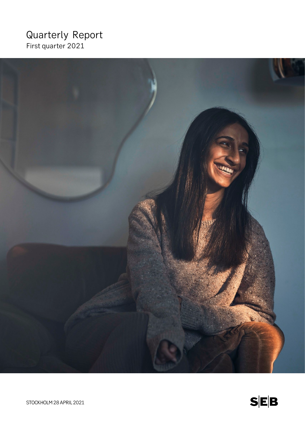# Quarterly Report First quarter 2021



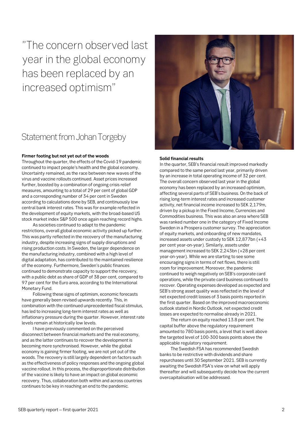"The concern observed last year in the global economy has been replaced by an increased optimism"

# Statement from Johan Torgeby

### **Firmer footing but not yet out of the woods**

Throughout the quarter, the effects of the Covid-19 pandemic continued to impact people's health and the global economy. Uncertainty remained, as the race between new waves of the virus and vaccine rollouts continued. Asset prices increased further, boosted by a combination of ongoing crisis relief measures, amounting to a total of 29 per cent of global GDP and a corresponding number of 34 per cent in Sweden according to calculations done by SEB, and continuously low central bank interest rates. This was for example reflected in the development of equity markets, with the broad-based US stock market index S&P 500 once again reaching record highs.

As societies continued to adapt to the pandemic restrictions, overall global economic activity picked up further. This was partly reflected in the recovery of the manufacturing industry, despite increasing signs of supply disruptions and rising production costs. In Sweden, the larger dependence on the manufacturing industry, combined with a high level of digital adaptation, has contributed to the maintained resilience of the economy. Furthermore, Sweden's public finances continued to demonstrate capacity to support the recovery, with a public debt as share of GDP of 38 per cent, compared to 97 per cent for the Euro area, according to the International Monetary Fund.

Following these signs of optimism, economic forecasts have generally been revised upwards recently. This, in combination with the continued unprecedented fiscal stimulus, has led to increasing long-term interest rates as well as inflationary pressure during the quarter. However, interest rate levels remain at historically low levels.

I have previously commented on the perceived disconnect between financial markets and the real economy, and as the latter continues to recover the development is becoming more synchronised. However, while the global economy is gaining firmer footing, we are not yet out of the woods. The recovery is still largely dependent on factors such as the effectiveness of policy responses and the ongoing global vaccine rollout. In this process, the disproportionate distribution of the vaccine is likely to have an impact on global economic recovery. Thus, collaboration both within and across countries continues to be key in reaching an end to the pandemic.



### **Solid financial results**

In the quarter, SEB's financial result improved markedly compared to the same period last year, primarily driven by an increase in total operating income of 32 per cent. The overall concern observed last year in the global economy has been replaced by an increased optimism, affecting several parts of SEB's business. On the back of rising long-term interest rates and increased customer activity, net financial income increased to SEK 2,179m, driven by a pickup in the Fixed Income, Currencies and Commodities business. This was also an area where SEB was ranked number one in the category of Fixed Income Sweden in a Prospera customer survey. The appreciation of equity markets, and onboarding of new mandates, increased assets under custody to SEK 12,877bn (+43 per cent year-on-year). Similarly, assets under management increased to SEK 2,243bn (+28 per cent year-on-year). While we are starting to see some encouraging signs in terms of net flows, there is still room for improvement. Moreover, the pandemic continued to weigh negatively on SEB's corporate card operations, while the private card business continued to recover. Operating expenses developed as expected and SEB's strong asset quality was reflected in the level of net expected credit losses of 3 basis points reported in the first quarter. Based on the improved macroeconomic outlook stated in Nordic Outlook, net expected credit losses are expected to normalise already in 2021.

The return on equity reached 13.8 per cent. The capital buffer above the regulatory requirement amounted to 780 basis points, a level that is well above the targeted level of 100-300 basis points above the applicable regulatory requirement.

The Swedish FSA has recommended Swedish banks to be restrictive with dividends and share repurchases until 30 September 2021. SEB is currently awaiting the Swedish FSA's view on what will apply thereafter and will subsequently decide how the current overcapitalisation will be addressed.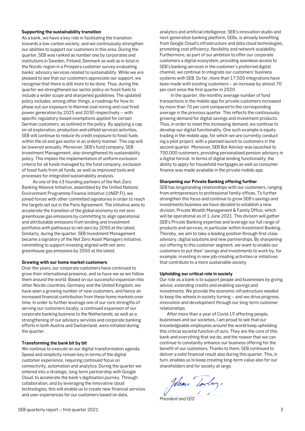### **Supporting the sustainability transition**

As a bank, we have a key role in facilitating the transition towards a low-carbon society, and we continuously strengthen our abilities to support our customers in this area. During the quarter, SEB was ranked as number one by corporates and institutions in Sweden, Finland, Denmark as well as in total in the Nordic region in a Prospera customer survey evaluating banks' advisory services related to sustainability. While we are pleased to see that our customers appreciate our support, we recognise that there is still more to be done. Thus, during the quarter we strengthened our sector policy on fossil fuels to include a wider scope and sharpened guidelines. The updated policy includes, among other things, a roadmap for how to phase out our exposure to thermal coal mining and coal fired power generation by 2025 and 2030 respectively – with specific regulatory-based exemptions applied for certain German customers, as outlined in the policy. By applying a cap on oil exploration, production and oilfield services activities, SEB will continue to reduce its credit exposure to fossil fuels within the oil and gas sector in an orderly manner. This cap will be lowered annually. Moreover, SEB's fund company, SEB Investment Management, also strengthened its sustainability policy. This implies the implementation of uniform exclusion criteria for all funds managed by the fund company, exclusion of fossil fuels from all funds, as well as improved tools and processes for integrated sustainability analysis.

As one of the 43 founding partners of the Net-Zero Banking Alliance Initiative, assembled by the United Nations Environment Programme Finance Initiative (UNEP FI), we joined forces with other committed signatories in order to reach the targets set out in the Paris Agreement. The initiative aims to accelerate the transition of the global economy to net zero greenhouse gas emissions by committing to align operational and attributable emissions from lending and investment portfolios with pathways to net-zero by 2050 at the latest. Similarly, during the quarter, SEB Investment Management became a signatory of the Net Zero Asset Managers Initiative, committing to support investing aligned with net zero greenhouse gas emissions by 2050 at the latest.

### **Growing with our home market customers**

Over the years, our corporate customers have continued to grow their international presence, and so have we as we follow them around the world. Based on our successful expansion into other Nordic countries, Germany and the United Kingdom, we have seen a growing number of new customers, and hence an increased financial contribution from these home markets over time. In order to further leverage one of our core strengths of serving our customers locally, a continued expansion of our corporate banking business to the Netherlands, as well as a strengthening of our advisory services and corporate banking efforts in both Austria and Switzerland, were initiated during the quarter.

### **Transforming the bank bit by bit**

We continue to execute on our digital transformation agenda. Speed and simplicity remain key in terms of the digital customer experience, requiring continued focus on connectivity, automation and analytics. During the quarter we entered into a strategic, long-term partnership with Google Cloud, to accelerate the bank's digitisation journey. Through collaboration, and by leveraging the innovative cloud technologies, this will enable us to create new financial services and user experiences for our customers based on data,

analytics and artificial intelligence. SEB's innovation studio and next-generation banking platform, SEBx, is already benefiting from Google Cloud's infrastructure and data cloud technologies, promoting cost efficiency, flexibility and network scalability. Furthermore, as part of our ambition to offer our corporate customers a digital ecosystem, providing seamless access to SEB's banking services in the customer's preferred digital channel, we continue to integrate our customers' business systems with SEB. So far, more than 17,500 integrations have been made with existing customers – an increase by almost 70 per cent since the first quarter in 2020.

In the quarter, the monthly average number of fund transactions in the mobile app for private customers increased by more than 70 per cent compared to the corresponding average in the previous quarter. This reflects the continuously growing demand for digital savings and investment products. Thus, in order to meet this increasing demand, we continue to develop our digital functionality. One such example is equity trading in the mobile app, for which we are currently conducting a pilot project, with a planned launch to customers in the second quarter. Moreover, SEB Bot Advisor was launched to 700,000 customers, providing personalised pension advisory in a digital format. In terms of digital lending functionality, the ability to apply for household mortgages as well as consumer finance was made available in the private mobile app.

### **Sharpening our Private Banking offering further**

SEB has longstanding relationships with our customers, ranging from entrepreneurs to professional family offices. To further strengthen this focus and continue to grow SEB's savings and investments business we have decided to establish a new division, Private Wealth Management & Family Office, which will be operational as of 1 June 2021. This division will gather SEB's Private Banking expertise and leverage our full range of products and services, in particular within Investment Banking. Thereby, we aim to take a leading position through first-class advisory, digital solutions and new partnerships. By sharpening our offering to this customer segment, we want to enable our customers to put their' savings and investments to work by, for example, investing in new job-creating activities or initiatives that contribute to a more sustainable society.

## **Upholding our critical role in society**

Our role as a bank is to support people and businesses by giving advice, extending credits and enabling savings and investments. We provide the economic infrastructure needed to keep the wheels in society turning – and we drive progress, innovation and development through our long-term customer relationships.

After more than a year of Covid-19 affecting people, businesses and our societies, I am proud to see that our knowledgeable employees around the world keep upholding this critical societal function of ours. They are the core of this bank and everything that we do, and the reason that we can continue to constantly enhance our business offering for the benefit of our customers. Thanks to them, SEB continued to deliver a solid financial result also during this quarter. This, in turn, enables us to keep creating long-term value also for our shareholders and for society at large.

John Toyley

*President and CEO*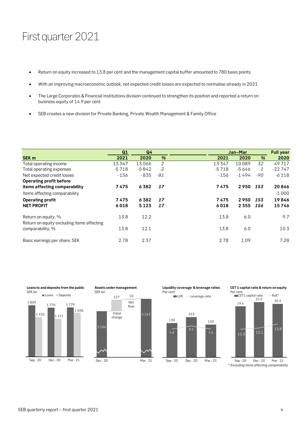# First quarter 2021

- Return on equity increased to 13.8 per cent and the management capital buffer amounted to 780 basis points
- With an improving macroeconomic outlook, net expected credit losses are expected to normalise already in 2021
- The Large Corporates & Financial Institutions division continued to strengthen its position and reported a return on business equity of 14.9 per cent
- SEB creates a new division for Private Banking, Private Wealth Management & Family Office

|                                                                   | Q1      | Q <sub>4</sub> |               |         | Jan-Mar |       | <b>Full year</b> |
|-------------------------------------------------------------------|---------|----------------|---------------|---------|---------|-------|------------------|
| <b>SEK m</b>                                                      | 2021    | 2020           | $\frac{9}{6}$ | 2021    | 2020    | %     | 2020             |
| Total operating income                                            | 13347   | 13066          | 2             | 13347   | 10089   | 32    | 49717            |
| Total operating expenses                                          | $-5718$ | $-5842$        | $-2$          | $-5718$ | $-5646$ | 1     | $-22747$         |
| Net expected credit losses                                        | $-156$  | - 835          | -81           | - 156   | $-1494$ | $-90$ | $-6118$          |
| <b>Operating profit before</b>                                    |         |                |               |         |         |       |                  |
| items affecting comparability                                     | 7475    | 6382           | 17            | 7475    | 2950    | 153   | 20846            |
| Items affecting comparability                                     |         |                |               |         |         |       | $-1000$          |
| <b>Operating profit</b>                                           | 7475    | 6382           | 17            | 7475    | 2950    | 153   | 19846            |
| <b>NET PROFIT</b>                                                 | 6018    | 5123           | 17            | 6018    | 2 3 5 5 | 156   | 15746            |
| Return on equity, %<br>Return on equity excluding items affecting | 13.8    | 12.2           |               | 13.8    | 6.0     |       | 9.7              |
| comparability, %                                                  | 13.8    | 12.1           |               | 13.8    | 6.0     |       | 10.3             |
| Basic earnings per share, SEK                                     | 2.78    | 2.37           |               | 2.78    | 1.09    |       | 7.28             |





**Liquidity coverage & leverage ratios** Per cent

139







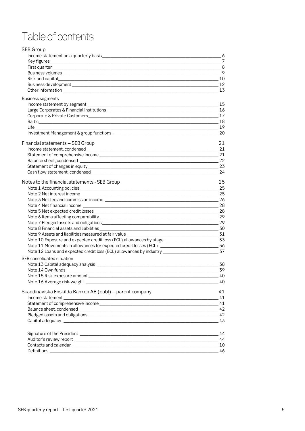# Table of contents

| <b>SEB Group</b>                                                                                       |       |
|--------------------------------------------------------------------------------------------------------|-------|
| Income statement on a quarterly basis ________________                                                 | - 6   |
|                                                                                                        |       |
|                                                                                                        | 8     |
|                                                                                                        |       |
|                                                                                                        |       |
|                                                                                                        |       |
|                                                                                                        |       |
| Business segments                                                                                      |       |
|                                                                                                        |       |
|                                                                                                        |       |
|                                                                                                        |       |
|                                                                                                        |       |
|                                                                                                        |       |
|                                                                                                        | 20    |
| Financial statements - SEB Group                                                                       | 21    |
|                                                                                                        | 21    |
|                                                                                                        |       |
|                                                                                                        |       |
|                                                                                                        | $-23$ |
|                                                                                                        | -24   |
| Notes to the financial statements - SEB Group                                                          | 25    |
|                                                                                                        | 25    |
|                                                                                                        |       |
|                                                                                                        |       |
|                                                                                                        |       |
|                                                                                                        |       |
|                                                                                                        |       |
|                                                                                                        |       |
|                                                                                                        |       |
| Note 9 Assets and liabilities measured at fair value ________________                                  |       |
| Note 10 Exposure and expected credit loss (ECL) allowances by stage ________________________________33 |       |
| Note 11 Movements in allowances for expected credit losses (ECL) ___________________________________36 |       |
|                                                                                                        |       |
| SEB consolidated situation                                                                             |       |
|                                                                                                        | -38   |
|                                                                                                        |       |
| Note 15 Risk exposure amount __                                                                        | 40    |
|                                                                                                        |       |
| Skandinaviska Enskilda Banken AB (publ) - parent company                                               | 41    |
|                                                                                                        |       |
|                                                                                                        |       |
|                                                                                                        |       |
|                                                                                                        |       |
|                                                                                                        |       |
|                                                                                                        | 44    |
|                                                                                                        | 44    |
|                                                                                                        |       |
|                                                                                                        |       |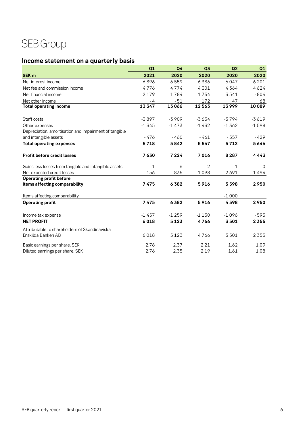# SEB Group

## <span id="page-5-0"></span>**Income statement on a quarterly basis**

|                                                       | Q1      | Q <sub>4</sub> | Q3      | Q <sub>2</sub> | Q1       |
|-------------------------------------------------------|---------|----------------|---------|----------------|----------|
| <b>SEK m</b>                                          | 2021    | 2020           | 2020    | 2020           | 2020     |
| Net interest income                                   | 6396    | 6559           | 6336    | 6047           | 6 2 0 1  |
| Net fee and commission income                         | 4776    | 4774           | 4301    | 4364           | 4624     |
| Net financial income                                  | 2 1 7 9 | 1784           | 1754    | 3541           | $-804$   |
| Net other income                                      | - 4     | $-51$          | 172     | 47             | 68       |
| <b>Total operating income</b>                         | 13347   | 13066          | 12563   | 13999          | 10089    |
| Staff costs                                           | $-3897$ | $-3909$        | $-3654$ | $-3794$        | $-3619$  |
| Other expenses                                        | $-1345$ | $-1473$        | $-1432$ | $-1362$        | $-1598$  |
| Depreciation, amortisation and impairment of tangible |         |                |         |                |          |
| and intangible assets                                 | - 476   | $-460$         | $-461$  | $-557$         | $-429$   |
| <b>Total operating expenses</b>                       | $-5718$ | $-5842$        | $-5547$ | $-5712$        | $-5646$  |
| <b>Profit before credit losses</b>                    | 7630    | 7224           | 7016    | 8 2 8 7        | 4443     |
| Gains less losses from tangible and intangible assets | 1       | - 6            | $-2$    | 1              | $\Omega$ |
| Net expected credit losses                            | $-156$  | $-835$         | $-1098$ | $-2691$        | $-1494$  |
| <b>Operating profit before</b>                        |         |                |         |                |          |
| items affecting comparability                         | 7475    | 6382           | 5916    | 5598           | 2950     |
| Items affecting comparability                         |         |                |         | $-1000$        |          |
| <b>Operating profit</b>                               | 7475    | 6382           | 5916    | 4598           | 2950     |
| Income tax expense                                    | $-1457$ | $-1259$        | $-1150$ | $-1096$        | $-595$   |
| <b>NET PROFIT</b>                                     | 6018    | 5123           | 4766    | 3501           | 2 3 5 5  |
| Attributable to shareholders of Skandinaviska         |         |                |         |                |          |
| Enskilda Banken AB                                    | 6018    | 5123           | 4766    | 3501           | 2 3 5 5  |
| Basic earnings per share, SEK                         | 2.78    | 2.37           | 2.21    | 1.62           | 1.09     |
| Diluted earnings per share, SEK                       | 2.76    | 2.35           | 2.19    | 1.61           | 1.08     |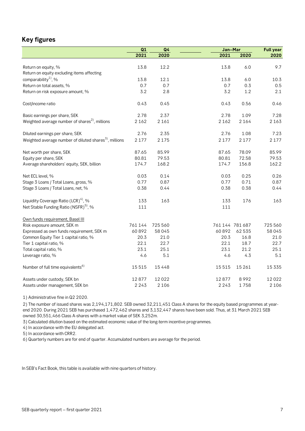## <span id="page-6-0"></span>**Key figures**

|                                                                   | Q1<br>Q <sub>4</sub> |         | Jan-Mar |                 | <b>Full year</b> |
|-------------------------------------------------------------------|----------------------|---------|---------|-----------------|------------------|
|                                                                   | 2021                 | 2020    | 2021    | 2020            | 2020             |
|                                                                   |                      |         |         |                 |                  |
| Return on equity, %                                               | 13.8                 | 12.2    | 13.8    | 6.0             | 9.7              |
| Return on equity excluding items affecting                        |                      |         |         |                 |                  |
| comparability <sup>1</sup> , %                                    | 13.8                 | 12.1    | 13.8    | 6.0             | 10.3             |
| Return on total assets, %                                         | 0.7                  | 0.7     | 0.7     | 0.3             | 0.5              |
| Return on risk exposure amount, %                                 | 3.2                  | 2.8     | 3.2     | 1.2             | 2.1              |
| Cost/income ratio                                                 | 0.43                 | 0.45    | 0.43    | 0.56            | 0.46             |
| Basic earnings per share, SEK                                     | 2.78                 | 2.37    | 2.78    | 1.09            | 7.28             |
| Weighted average number of shares <sup>2)</sup> , millions        | 2 1 6 2              | 2 1 6 1 | 2 1 6 2 | 2 1 6 4         | 2 1 6 3          |
| Diluted earnings per share, SEK                                   | 2.76                 | 2.35    | 2.76    | 1.08            | 7.23             |
| Weighted average number of diluted shares <sup>3</sup> , millions | 2 1 7 7              | 2175    | 2 1 7 7 | 2 1 7 7         | 2 1 7 7          |
| Net worth per share, SEK                                          | 87.65                | 85.99   | 87.65   | 78.09           | 85.99            |
| Equity per share, SEK                                             | 80.81                | 79.53   | 80.81   | 72.58           | 79.53            |
| Average shareholders' equity, SEK, billion                        | 174.7                | 168.2   | 174.7   | 156.8           | 162.2            |
| Net ECL level, %                                                  | 0.03                 | 0.14    | 0.03    | 0.25            | 0.26             |
| Stage 3 Loans / Total Loans, gross, %                             | 0.77                 | 0.87    | 0.77    | 0.71            | 0.87             |
| Stage 3 Loans / Total Loans, net, %                               | 0.38                 | 0.44    | 0.38    | 0.38            | 0.44             |
| Liquidity Coverage Ratio (LCR) <sup>4)</sup> , %                  | 133                  | 163     | 133     | 176             | 163              |
| Net Stable Funding Ratio (NSFR) <sup>5)</sup> , %                 | 111                  |         | 111     |                 |                  |
| Own funds requirement, Basel III                                  |                      |         |         |                 |                  |
| Risk exposure amount, SEK m                                       | 761 144              | 725 560 |         | 761 144 781 687 | 725 560          |
| Expressed as own funds requirement, SEK m                         | 60892                | 58045   | 60892   | 62 535          | 58045            |
| Common Equity Tier 1 capital ratio, %                             | 20.3                 | 21.0    | 20.3    | 16.8            | 21.0             |
| Tier 1 capital ratio, %                                           | 22.1                 | 22.7    | 22.1    | 18.7            | 22.7             |
| Total capital ratio, %                                            | 23.1                 | 25.1    | 23.1    | 21.2            | 25.1             |
| Leverage ratio, %                                                 | 4.6                  | 5.1     | 4.6     | 4.3             | 5.1              |
| Number of full time equivalents <sup>6)</sup>                     | 15515                | 15448   | 15515   | 15 26 1         | 15 3 3 5         |
| Assets under custody, SEK bn                                      | 12877                | 12022   | 12877   | 8992            | 12022            |
| Assets under management, SEK bn                                   | 2 2 4 3              | 2 1 0 6 | 2 2 4 3 | 1758            | 2 1 0 6          |

1) Administrative fine in Q2 2020.

2) The number of issued shares was 2,194,171,802. SEB owned 32,211,451 Class A shares for the equity based programmes at yearend 2020. During 2021 SEB has purchased 1,472,462 shares and 3,132,447 shares have been sold. Thus, at 31 March 2021 SEB owned 30,551,466 Class A-shares with a market value of SEK 3,252m.

3) Calculated dilution based on the estimated economic value of the long-term incentive programmes.

4) In accordance with the EU delegated act.

5) In accordance with CRR2.

6) Quarterly numbers are for end of quarter. Accumulated numbers are average for the period.

In SEB's Fact Book, this table is available with nine quarters of history.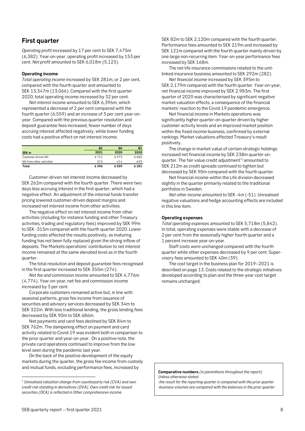## <span id="page-7-0"></span>**First quarter**

*Operating profit* increased by 17 per cent to SEK 7,475m (6,382). Year-on-year, operating profit increased by 153 per cent. *Net profit* amounted to SEK 6,018m (5,123).

## **Operating income**

*Total operating income* increased by SEK 281m, or 2 per cent, compared with the fourth quarter and amounted to SEK 13,347m (13,066). Compared with the first quarter 2020, total operating income increased by 32 per cent.

*Net interest income* amounted to SEK 6,396m, which represented a decrease of 2 per cent compared with the fourth quarter (6,559) and an increase of 3 per cent year-onyear. Compared with the previous quarter resolution and deposit guarantee fees increased, fewer number of days accruing interest affected negatively, while lower funding costs had a positive effect on net interest income.

|                           | Q1     | Q4     | Q1     |
|---------------------------|--------|--------|--------|
| SEK <sub>m</sub>          | 2021   | 2020   | 2020   |
| Customer-driven NII       | 6711   | 6973   | 6860   |
| NII from other activities | $-315$ | $-414$ | $-659$ |
| Total                     | 6396   | 6559   | 6201   |

Customer-driven net interest income decreased by SEK 262m compared with the fourth quarter. There were two days less accruing interest in the first quarter, which had a negative effect. An adjustment of the internal funds transfer pricing lowered customer-driven deposit margins and increased net interest income from other activities.

The negative effect on net interest income from other activities (including for instance funding and other Treasury activities, trading and regulatory fees) improved by SEK 99m to SEK -315m compared with the fourth quarter 2020. Lower funding costs affected the results positively, as maturing funding has not been fully replaced given the strong inflow of deposits. The Markets operations' contribution to net interest income remained at the same elevated level as in the fourth quarter.

The total resolution and deposit guarantee fees recognised in the first quarter increased to SEK 355m (274).

*Net fee and commission income* amounted to SEK 4,776m (4,774). Year-on-year, net fee and commission income increased by 3 per cent.

 Corporate customers remained active but, in line with seasonal patterns, gross fee income from issuance of securities and advisory services decreased by SEK 34m to SEK 322m. With less traditional lending, the gross lending fees decreased by SEK 90m to SEK 686m.

 Net payments and card fees declined by SEK 84m to SEK 762m. The dampening effect on payment and card activity related to Covid-19 was evident both in comparison to the prior quarter and year-on-year. On a positive note, the private card operations continued to improve from the low level seen during the pandemic last year.

 On the back of the positive development of the equity markets during the quarter, the gross fee income from custody and mutual funds, excluding performance fees, increased by

SEK 82m to SEK 2,120m compared with the fourth quarter. Performance fees amounted to SEK 219m and increased by SEK 121m compared with the fourth quarter mainly driven by one large non-recurring item. Year-on-year performance fees increased by SEK 168m.

 The net life insurance commissions related to the unitlinked insurance business amounted to SEK 292m (282).

*Net financial income* increased by SEK 395m to SEK 2,179m compared with the fourth quarter. Year-on-year, net financial income improved by SEK 2,983m. The first quarter of 2020 was characterised by significant negative market valuation effects, a consequence of the financial markets' reaction to the Covid-19 pandemic emergence.

Net financial income in Markets operations was significantly higher quarter-on-quarter driven by higher customer activity levels and an improved market position within the fixed income business, confirmed by external rankings. Market valuations affected Treasury's result positively.

The change in market value of certain strategic holdings increased net financial income by SEK 238m quarter-on-quarter. The fair value credit adjustment<sup>[1\)](#page-7-1)</sup> amounted to SEK 212m as credit spreads continued to tighten but decreased by SEK 90m compared with the fourth quarter.

Net financial income within the Life division decreased slightly in the quarter primarily related to the traditional portfolios in Sweden.

*Net other income* amounted to SEK -4m (-51). Unrealised negative valuations and hedge accounting effects are included in this line item.

## **Operating expenses**

*Total operating expenses* amounted to SEK 5,718m (5,842). In total, operating expenses were stable with a decrease of 2 per cent from the seasonally higher fourth quarter and a 1 percent increase year-on-year.

Staff costs were unchanged compared with the fourth quarter while other expenses decreased by 9 per cent. Supervisory fees amounted to SEK 40m (39).

 The cost target in the business plan for 2019–2021 is described on page 13. Costs related to the strategic initiatives developed according to plan and the three-year cost target remains unchanged.

**Comparative numbers** *(in parenthesis throughout the report) Unless otherwise stated:*

 *-the result for the reporting quarter is compared with the prior quarter -business volumes are compared with the balances in the prior quarter*

<span id="page-7-1"></span><sup>1</sup> *Unrealised valuation change from counterparty risk (CVA) and own credit risk standing in derivatives (DVA). Own credit risk for issued securities (OCA) is reflected in Other comprehensive income.*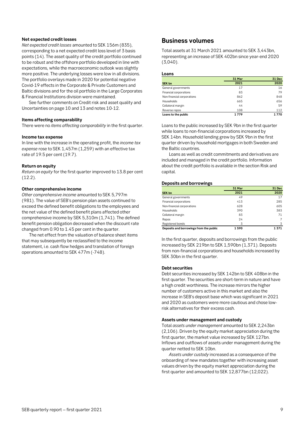## **Net expected credit losses**

*Net expected credit losses* amounted to SEK 156m (835), corresponding to a net expected credit loss level of 3 basis points (14). The asset quality of the credit portfolio continued to be robust and the offshore portfolio developed in line with expectations, while the macroeconomic outlook was slightly more positive. The underlying losses were low in all divisions. The portfolio overlays made in 2020 for potential negative Covid-19 effects in the Corporate & Private Customers and Baltic divisions and for the oil portfolio in the Large Corporates & Financial Institutions division were maintained.

See further comments on Credit risk and asset quality and Uncertainties on page 10 and 13 and notes 10-12.

## **Items affecting comparability**

There were no *items affecting comparability* in the first quarter.

### **Income tax expense**

In line with the increase in the operating profit, the *income tax expense* rose to SEK 1,457m (1,259) with an effective tax rate of 19.5 per cent (19.7).

### **Return on equity**

*Return on equity* for the first quarter improved to 13.8 per cent (12.2).

## **Other comprehensive income**

*Other comprehensive income* amounted to SEK 5,797m (981). The value of SEB's pension plan assets continued to exceed the defined benefit obligations to the employees and the net value of the defined benefit plans affected other comprehensive income by SEK 5,310m (1,741). The defined benefit pension obligation decreased when the discount rate changed from 0.90 to 1.45 per cent in the quarter.

The net effect from the valuation of balance sheet items that may subsequently be reclassified to the income statement, i.e. cash flow hedges and translation of foreign operations amounted to SEK 477m (-748).

## <span id="page-8-0"></span>**Business volumes**

Total assets at 31 March 2021 amounted to SEK 3,443bn, representing an increase of SEK 402bn since year-end 2020 (3,040).

### **Loans**

|                            | 31 Mar | 31 Dec |
|----------------------------|--------|--------|
| <b>SEK bn</b>              | 2021   | 2020   |
| General governments        | 17     | 16     |
| Financial corporations     | 83     | 79     |
| Non-financial corporations | 862    | 848    |
| Households                 | 665    | 656    |
| Collateral margin          | 44     | 59     |
| Reverse repos              | 108    | 112    |
| Loans to the public        | 1779   | 1770   |

Loans to the public increased by SEK 9bn in the first quarter while loans to non-financial corporations increased by SEK 14bn. Household lending grew by SEK 9bn in the first quarter driven by household mortgages in both Sweden and the Baltic countries.

Loans as well as credit commitments and derivatives are included and managed in the credit portfolio. Information about the credit portfolio is available in the section Risk and capital.

## **Deposits and borrowings**

|                                         | 31 Mar | 31 Dec |
|-----------------------------------------|--------|--------|
| <b>SEK bn</b>                           | 2021   | 2020   |
| General governments                     | 49     | 17     |
| Financial corporations                  | 413    | 285    |
| Non-financial corporations              | 628    | 605    |
| Households                              | 390    | 383    |
| Collateral margin                       | 83     | 71     |
| Repos                                   | 24     |        |
| Registered bonds                        | 3      | 3      |
| Deposits and borrowings from the public | 1590   | 1371   |

In the first quarter, deposits and borrowings from the public increased by SEK 219bn to SEK 1,590bn (1,371). Deposits from non-financial corporations and households increased by SEK 30bn in the first quarter.

## **Debt securities**

Debt securities increased by SEK 142bn to SEK 408bn in the first quarter. The securities are short-term in nature and have a high credit worthiness. The increase mirrors the higher number of customers active in this market and also the increase in SEB's deposit base which was significant in 2021 and 2020 as customers were more cautious and chose lowrisk alternatives for their excess cash.

### **Assets under management and custody**

Total *assets under management* amounted to SEK 2,243bn (2,106). Driven by the equity market appreciation during the first quarter, the market value increased by SEK 127bn. Inflows and outflows of assets under management during the quarter netted to SEK 10bn.

*Assets under custody* increased as a consequence of the onboarding of new mandates together with increasing asset values driven by the equity market appreciation during the first quarter and amounted to SEK 12,877bn (12,022).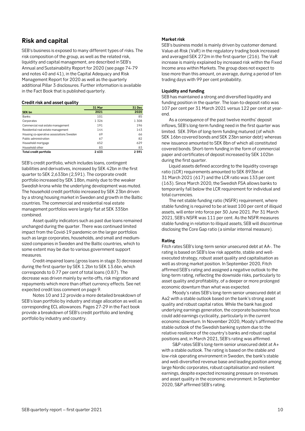## <span id="page-9-0"></span>**Risk and capital**

SEB's business is exposed to many different types of risks. The risk composition of the group, as well as the related risk, liquidity and capital management, are described in SEB's Annual and Sustainability Report for 2020 (see page 74-79 and notes 40 and 41), in the Capital Adequacy and Risk Management Report for 2020 as well as the quarterly additional Pillar 3 disclosures. Further information is available in the Fact Book that is published quarterly.

## **Credit risk and asset quality**

|                                          | 31 Mar | 31 Dec |
|------------------------------------------|--------|--------|
| SEK bn                                   | 2021   | 2020   |
| <b>Banks</b>                             | 101    | 85     |
| Corporates                               | 1326   | 1308   |
| Commercial real estate management        | 191    | 196    |
| Residential real estate management       | 144    | 143    |
| Housing co-operative associations Sweden | 69     | 66     |
| Public administration                    | 67     | 82     |
| Household mortgage                       | 652    | 629    |
| Household other                          | 83     | 83     |
| Total credit portfolio                   | 2633   | 2591   |
|                                          |        |        |

SEB's credit portfolio, which includes loans, contingent liabilities and derivatives, increased by SEK 42bn in the first quarter to SEK 2,633bn (2,591). The corporate credit portfolio increased by SEK 18bn, mainly due to the weaker Swedish krona while the underlying development was muted. The household credit portfolio increased by SEK 23bn driven by a strong housing market in Sweden and growth in the Baltic countries. The commercial and residential real estate management portfolios were largely flat at SEK 335bn combined.

Asset quality indicators such as past due loans remained unchanged during the quarter. There was continued limited impact from the Covid-19 pandemic on the larger portfolios such as large corporates, households, and small and mediumsized companies in Sweden and the Baltic countries, which to some extent may be due to various government support measures.

Credit-impaired loans (gross loans in stage 3) decreased during the first quarter by SEK 1.2bn to SEK 13.6bn, which corresponds to 0.77 per cent of total loans (0.87). The decrease was driven mainly by write-offs, risk migration and repayments which more than offset currency effects. See net expected credit loss comment on page 9.

Notes 10 and 12 provide a more detailed breakdown of SEB's loan portfolio by industry and stage allocation as well as corresponding ECL allowances. Pages 27-29 in the Fact book provide a breakdown of SEB's credit portfolio and lending portfolio by industry and country.

## **Market risk**

SEB's business model is mainly driven by customer demand. Value-at-Risk (VaR) in the regulatory trading book increased and averaged SEK 272m in the first quarter (216). The VaR increase is mainly explained by increased risk within the Fixed Income area within Markets. The group does not expect to lose more than this amount, on average, during a period of ten trading days with 99 per cent probability.

## **Liquidity and funding**

SEB has maintained a strong and diversified liquidity and funding position in the quarter. The loan-to-deposit ratio was 107 per cent per 31 March 2021 versus 122 per cent at yearend.

As a consequence of the past twelve months' deposit inflows, SEB's long-term funding need in the first quarter was limited. SEK 39bn of long-term funding matured (of which SEK 16bn covered bonds and SEK 23bn senior debt) whereas new issuance amounted to SEK 8bn of which all constituted covered bonds. Short-term funding in the form of commercial paper and certificates of deposit increased by SEK 102bn during the first quarter.

Liquid assets defined according to the liquidity coverage ratio (LCR) requirements amounted to SEK 893bn at 31 March 2021 (617) and the LCR ratio was 133 per cent (163). Since March 2020, the Swedish FSA allows banks to temporarily fall below the LCR requirement for individual and total currencies.

The net stable funding ratio (NSFR) requirement, where stable funding is required to be at least 100 per cent of illiquid assets, will enter into force per 30 June 2021. Per 31 March 2021, SEB's NSFR was 111 per cent. As the NSFR measures stable funding in relation to illiquid assets, SEB will discontinue disclosing the Core Gap ratio (a similar internal measure).

## **Rating**

Fitch rates SEB's long-term senior unsecured debt at AA-. The rating is based on SEB's low risk appetite, stable and wellexecuted strategy, robust asset quality and capitalisation as well as strong market position. In September 2020, Fitch affirmed SEB's rating and assigned a negative outlook to the long-term rating, reflecting the downside risks, particularly to asset quality and profitability, of a deeper or more prolonged economic downturn than what was expected.

Moody's rates SEB's long-term senior unsecured debt at Aa2 with a stable outlook based on the bank's strong asset quality and robust capital ratios. While the bank has good underlying earnings generation, the corporate business focus could add earnings cyclicality, particularly in the current economic downturn. In November 2020, Moody's affirmed the stable outlook of the Swedish banking system due to the relative resilience of the country's banks and robust capital positions and, in March 2021, SEB's rating was affirmed.

S&P rates SEB's long-term senior unsecured debt at A+ with a stable outlook. The rating is based on the stable and low-risk operating environment in Sweden, the bank's stable and well-diversified revenue base and leading position among large Nordic corporates, robust capitalisation and resilient earnings, despite expected increasing pressure on revenues and asset quality in the economic environment. In September 2020, S&P affirmed SEB's rating.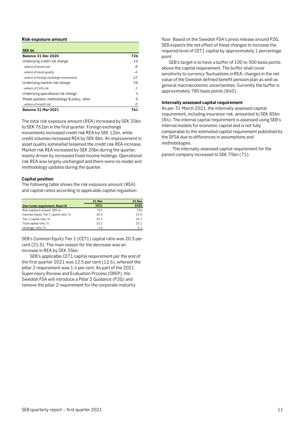### **Risk exposure amount**

| <b>SEK bn</b>                              |     |
|--------------------------------------------|-----|
| Balance 31 Dec 2020                        | 726 |
| Underlying credit risk change              | 16  |
| - where of asset size                      | 8   |
| - where of asset quality                   | -4  |
| - where of foreign exchange movements      | 12  |
| Underlying market risk change              | 20  |
| - where of CVA risk                        | 2   |
| Underlying operational risk change         |     |
| Model updates, methodology & policy, other |     |
| - where of credit risk                     |     |
| <b>Balance 31 Mar 2021</b>                 | 761 |

The total risk exposure amount (REA) increased by SEK 35bn to SEK 761bn in the first quarter. Foreign exchange movements increased credit risk REA by SEK 12bn, while credit volumes increased REA by SEK 8bn. An improvement in asset quality somewhat lessened the credit risk REA increase. Market risk REA increased by SEK 20bn during the quarter, mainly driven by increased fixed income holdings. Operational risk REA was largely unchanged and there were no model and methodology updates during the quarter.

## **Capital position**

The following table shows the risk exposure amount (REA) and capital ratios according to applicable capital regulation:

|                                       | 31 Mar | <b>31 Dec</b> |
|---------------------------------------|--------|---------------|
| Own funds requirement, Basel III      | 2021   | 2020          |
| Risk exposure amount, SEK bn          | 761    | 726           |
| Common Equity Tier 1 capital ratio, % | 20.3   | 21.0          |
| Tier 1 capital ratio, %               | 22.1   | 22.7          |
| Total capital ratio, %                | 23.1   | 25.1          |
| Leverage ratio, %                     | 4.6    | 5.1           |

SEB's Common Equity Tier 1 (CET1) capital ratio was 20.3 per cent (21.0). The main reason for the decrease was an increase in REA by SEK 35bn.

SEB's applicable CET1 capital requirement per the end of the first quarter 2021 was 12.5 per cent (12.6), whereof the pillar 2 requirement was 1.4 per cent. As part of the 2021 Supervisory Review and Evaluation Process (SREP), the Swedish FSA will introduce a Pillar 2 Guidance (P2G) and remove the pillar 2 requirement for the corporate maturity

floor. Based on the Swedish FSA's press release around P2G, SEB expects the net effect of these changes to increase the required level of CET1 capital by approximately 1 percentage point.

SEB's target is to have a buffer of 100 to 300 basis points above the capital requirement. The buffer shall cover sensitivity to currency fluctuations in REA, changes in the net value of the Swedish defined benefit pension plan as well as general macroeconomic uncertainties. Currently the buffer is approximately 780 basis points (840).

## **Internally assessed capital requirement**

As per 31 March 2021, the internally assessed capital requirement, including insurance risk, amounted to SEK 85bn (84). The internal capital requirement is assessed using SEB's internal models for economic capital and is not fully comparable to the estimated capital requirement published by the SFSA due to differences in assumptions and methodologies.

The internally assessed capital requirement for the parent company increased to SEK 75bn (71).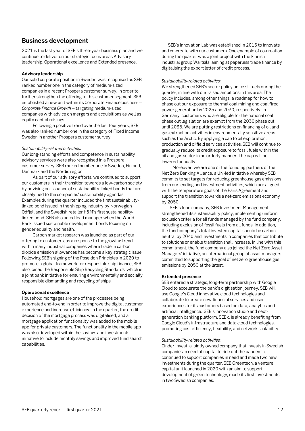## <span id="page-11-0"></span>**Business development**

2021 is the last year of SEB's three-year business plan and we continue to deliver on our strategic focus areas Advisory leadership, Operational excellence and Extended presence.

## **Advisory leadership**

Our solid corporate position in Sweden was recognised as SEB ranked number one in the category of medium-sized companies in a recent Prospera customer survey. In order to further strengthen the offering to this customer segment, SEB established a new unit within its Corporate Finance business – *Corporate Finance Growth* – targeting medium-sized companies with advice on mergers and acquisitions as well as equity capital raisings.

Following a positive trend over the last four years, SEB was also ranked number one in the category of Fixed Income Sweden in another Prospera customer survey.

## *Sustainability-related activities:*

Our long-standing efforts and competence in sustainability advisory services were also recognised in a Prospera customer survey. SEB ranked number one in Sweden, Finland, Denmark and the Nordic region.

As part of our advisory efforts, we continued to support our customers in their transition towards a low-carbon society by advising on issuance of sustainability-linked bonds that are closely tied to the companies' sustainability agendas. Examples during the quarter included the first sustainabilitylinked bond issued in the shipping industry by Norwegian Odfjell and the Swedish retailer H&M's first sustainabilitylinked bond. SEB also acted lead manager when the World Bank issued sustainable development bonds focusing on gender equality and health.

Carbon market research was launched as part of our offering to customers, as a response to the growing trend within many industrial companies where trade in carbon dioxide emission allowances has become a key strategic issue. Following SEB's signing of the Poseidon Principles in 2020 to promote a global framework for responsible ship finance, SEB also joined the Responsible Ship Recycling Standards, which is a joint bank initiative for ensuring environmentally and socially responsible dismantling and recycling of ships.

## **Operational excellence**

Household mortgages are one of the processes being automated end-to-end in order to improve the digital customer experience and increase efficiency. In the quarter, the credit decision of the mortgage process was digitalised, and a mortgage application functionality was added to the mobile app for private customers. The functionality in the mobile app was also developed within the savings and investments initiative to include monthly savings and improved fund search capabilities.

 SEB's Innovation Lab was established in 2015 to innovate and co-create with our customers. One example of co-creation during the quarter was a joint project with the Finnish industrial group Wärtsilä, aiming at paperless trade finance by digitalising the export letter of credit process.

## *Sustainability-related activities:*

We strengthened SEB's sector policy on fossil fuels during the quarter, in line with our raised ambitions in this area. The policy includes, among other things, a roadmap for how to phase out our exposure to thermal coal mining and coal fired power generation by 2025 and 2030, respectively. In Germany, customers who are eligible for the national coal phase out legislation are exempt from the 2030 phase out until 2038. We are putting restrictions on financing of oil and gas extraction activities in environmentally sensitive areas such as the Arctic. By applying a cap to oil exploration, production and oilfield services activities, SEB will continue to gradually reduce its credit exposure to fossil fuels within the oil and gas sector in an orderly manner. The cap will be lowered annually.

Moreover, we are one of the founding partners of the Net Zero Banking Alliance, a UN-led initiative whereby SEB commits to set targets for reducing greenhouse gas emissions from our lending and investment activities, which are aligned with the temperature goals of the Paris Agreement and support the transition towards a net-zero emissions economy by 2050.

 SEB's fund company, SEB Investment Management, strengthened its sustainability policy, implementing uniform exclusion criteria for all funds managed by the fund company, including exclusion of fossil fuels from all funds. In addition, the fund company's total invested capital should be carbon neutral by 2040 and investments in companies that contribute to solutions or enable transition shall increase. In line with this commitment, the fund company also joined the Net Zero Asset Managers' initiative, an international group of asset managers committed to supporting the goal of net zero greenhouse gas emissions by 2050 at the latest.

### **Extended presence**

SEB entered a strategic, long-term partnership with Google Cloud to accelerate the bank's digitisation journey. SEB will use Google's Cloud innovative cloud technologies and collaborate to create new financial services and user experiences for its customers based on data, analytics and artificial intelligence. SEB's innovation studio and nextgeneration banking platform, SEBx, is already benefiting from Google Cloud's infrastructure and data cloud technologies, promoting cost efficiency, flexibility, and network scalability.

### *Sustainability-related activities:*

Cinder Invest, a jointly owned company that invests in Swedish companies in need of capital to ride out the pandemic, continued to support companies in need and made two new investments during the quarter. SEB Greentech, a venture capital unit launched in 2020 with an aim to support development of green technology, made its first investments in two Swedish companies.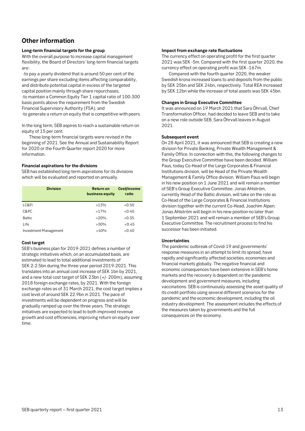## <span id="page-12-0"></span>**Other information**

## **Long-term financial targets for the group**

With the overall purpose to increase capital management flexibility, the Board of Directors' long-term financial targets are:

-to pay a yearly dividend that is around 50 per cent of the earnings per share excluding items affecting comparability, and distribute potential capital in excess of the targeted capital position mainly through share repurchases, -to maintain a Common Equity Tier 1 capital ratio of 100-300 basis points above the requirement from the Swedish Financial Supervisory Authority (FSA), and -to generate a return on equity that is competitive with peers.

In the long term, SEB aspires to reach a sustainable return on equity of 15 per cent.

These long-term financial targets were revised in the beginning of 2021. See the Annual and Sustainability Report for 2020 or the Fourth Quarter report 2020 for more information.

## **Financial aspirations for the divisions**

SEB has established long-term aspirations for its divisions which will be evaluated and reported on annually.

| <b>Division</b>       | <b>Returnon</b><br>business equity | Cost/income<br>ratio |
|-----------------------|------------------------------------|----------------------|
| LC&FI                 | >13%                               | < 0.50               |
| C&PC                  | >17%                               | < 0.40               |
| <b>Baltic</b>         | >20%                               | < 0.35               |
| Life                  | $>30\%$                            | < 0.45               |
| Investment Management | >40%                               | <0.40                |

## **Cost target**

SEB's business plan for 2019-2021 defines a number of strategic initiatives which, on an accumulated basis, are estimated to lead to total additional investments of SEK 2-2.5bn during the three-year period 2019-2021. This translates into an annual cost increase of SEK 1bn by 2021, and a new total cost target of SEK 23bn (+/- 200m), assuming 2018 foreign exchange rates, by 2021. With the foreign exchange rates as of 31 March 2021, the cost target implies a cost level of around SEK 22.9bn in 2021. The pace of investments will be dependent on progress and will be gradually ramped up over the three years. The strategic initiatives are expected to lead to both improved revenue growth and cost efficiencies, improving return on equity over time.

## **Impact from exchange rate fluctuations**

The currency effect on operating profit for the first quarter 2021 was SEK -5m. Compared with the first quarter 2020, the currency effect on operating profit was SEK -167m.

Compared with the fourth quarter 2020, the weaker Swedish krona increased loans to and deposits from the public by SEK 25bn and SEK 24bn, respectively. Total REA increased by SEK 12bn while the increase of total assets was SEK 45bn.

## **Changes in Group Executive Committee**

It was announced on 19 March 2021 that Sara Öhrvall, Chief Transformation Officer, had decided to leave SEB and to take on a new role outside SEB. Sara Öhrvall leaves in August 2021.

## **Subsequent event**

On 28 April 2021, it was announced that SEB is creating a new division for Private Banking, Private Wealth Management & Family Office. In connection with this, the following changes to the Group Executive Committee have been decided. William Paus, today Co-Head of the Large Corporates & Financial Institutions division, will be Head of the Private Wealth Management & Family Office division. William Paus will begin in his new position on 1 June 2021 and will remain a member of SEB's Group Executive Committee. Jonas Ahlström, currently Head of the Baltic division, will take on the role as Co-Head of the Large Corporates & Financial Institutions division together with the current Co-Head, Joachim Alpen. Jonas Ahlström will begin in his new position no later than 1 September 2021 and will remain a member of SEB's Group Executive Committee. The recruitment process to find his successor has been initiated.

## **Uncertainties**

The pandemic outbreak of Covid-19 and governments' response measures in an attempt to limit its spread, have rapidly and significantly affected societies, economies and financial markets globally. The negative financial and economic consequences have been extensive in SEB's home markets and the recovery is dependent on the pandemic development and government measures, including vaccinations. SEB is continuously assessing the asset quality of its credit portfolio using several different scenarios for the pandemic and the economic development, including the oil industry development. The assessment includes the effects of the measures taken by governments and the full consequences on the economy.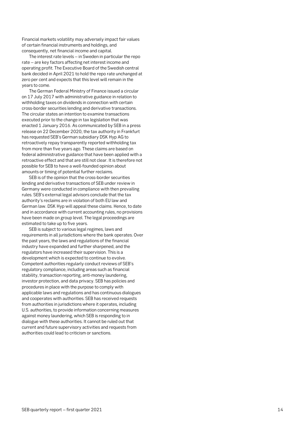Financial markets volatility may adversely impact fair values of certain financial instruments and holdings, and consequently, net financial income and capital.

The interest rate levels – in Sweden in particular the repo rate – are key factors affecting net interest income and operating profit. The Executive Board of the Swedish central bank decided in April 2021 to hold the repo rate unchanged at zero per cent and expects that this level will remain in the years to come.

The German Federal Ministry of Finance issued a circular on 17 July 2017 with administrative guidance in relation to withholding taxes on dividends in connection with certain cross - border securities lending and derivative transactions. The circular states an intention to examine transactions executed prior to the change in tax legislation that was enacted 1 January 2016. As communicated by SEB in a press release on 22 December 2020, the tax authority in Frankfurt has requested SEB's German subsidiary DSK Hyp AG to retroactively repay transparently reported withholding tax from more than five years ago. These claims are based on federal administrative guidance that have been applied with a retroactive effect and that are still not clear. It is therefore not possible for SEB to have a well -founded opinion about amounts or timing of potential further reclaims.

SEB is of the opinion that the cross -border securities lending and derivative transactions of SEB under review in Germany were conducted in compliance with then prevailing rules. SEB's external legal advisors conclude that the tax authority's reclaims are in violation of both EU law and German law . DSK Hyp will appeal these claims. Hence, to date and in accordance with current accounting rules, no provisions have been made on group level. The legal proceedings are estimated to take up to five years.

SEB is subject to various legal regimes, laws and requirements in all jurisdictions where the bank operates. Over the past years, the laws and regulations of the financial industry have expanded and further sharpened, and the regulators have increased their supervision. This is a development which is expected to continue to evolve. Competent authorities regularly conduct reviews of SEB's regulatory compliance, including areas such as financial stability, transaction reporting, anti -money laundering, investor protection, and data privacy. SEB has policies and procedures in place with the purpose to comply with applicable laws and regulations and has continuous dialogues and cooperates with authorities. SEB has received requests from authorities in jurisdictions where it operates, including U.S. authorities, to provide information concerning measures against money laundering, which SEB is responding to in dialogue with these authorities. It cannot be ruled out that current and future supervisory activities and requests from authorities could lead to criticism or sanctions.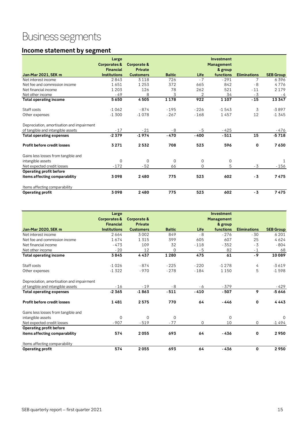# Business segments

## <span id="page-14-0"></span>**Income statement by segment**

|                                           | Large                                       |                                          |               |             | <b>Investment</b>            |                     |                  |
|-------------------------------------------|---------------------------------------------|------------------------------------------|---------------|-------------|------------------------------|---------------------|------------------|
|                                           | <b>Corporates &amp;</b><br><b>Financial</b> | <b>Corporate &amp;</b><br><b>Private</b> |               |             | <b>Management</b><br>& group |                     |                  |
| <b>Jan-Mar 2021, SEK m</b>                | <b>Institutions</b>                         | <b>Customers</b>                         | <b>Baltic</b> | Life        | functions                    | <b>Eliminations</b> | <b>SEB Group</b> |
| Net interest income                       | 2843                                        | 3 1 1 8                                  | 726           | $-7$        | $-291$                       | 7                   | 6396             |
| Net fee and commission income             | 1651                                        | 1253                                     | 372           | 665         | 842                          | $-8$                | 4776             |
| Net financial income                      | 1 2 0 3                                     | 126                                      | 78            | 262         | 521                          | $-11$               | 2 1 7 9          |
| Net other income                          | - 49                                        | 8                                        | 3             | 2           | 34                           | $-3$                | - 4              |
| <b>Total operating income</b>             | 5650                                        | 4505                                     | 1178          | 922         | 1 1 0 7                      | $-15$               | 13347            |
| Staff costs                               | $-1062$                                     | $-874$                                   | $-195$        | $-226$      | $-1543$                      | 3                   | $-3897$          |
| Other expenses                            | $-1300$                                     | $-1078$                                  | $-267$        | $-168$      | 1457                         | 12                  | $-1345$          |
| Depreciation, amortisation and impairment |                                             |                                          |               |             |                              |                     |                  |
| of tangible and intangible assets         | $-17$                                       | $-21$                                    | - 8           | - 5         | $-425$                       |                     | - 476            |
| <b>Total operating expenses</b>           | $-2379$                                     | $-1974$                                  | $-470$        | $-400$      | $-511$                       | 15                  | $-5718$          |
| <b>Profit before credit losses</b>        | 3271                                        | 2532                                     | 708           | 523         | 596                          | $\mathbf 0$         | 7630             |
| Gains less losses from tangible and       |                                             |                                          |               |             |                              |                     |                  |
| intangible assets                         | $\Omega$                                    | 0                                        | $\mathbf 0$   | $\mathbf 0$ | $\mathbf 0$                  |                     |                  |
| Net expected credit losses                | $-172$                                      | $-52$                                    | 66            | $\Omega$    | 5                            | - 3                 | $-156$           |
| Operating profit before                   |                                             |                                          |               |             |                              |                     |                  |
| items affecting comparability             | 3098                                        | 2480                                     | 775           | 523         | 602                          | - 3                 | 7475             |
| Items affecting comparability             |                                             |                                          |               |             |                              |                     |                  |
| <b>Operating profit</b>                   | 3098                                        | 2480                                     | 775           | 523         | 602                          | - 3                 | 7475             |

|                                           | Large                   |                  |               |        | <b>Investment</b> |                     |                  |
|-------------------------------------------|-------------------------|------------------|---------------|--------|-------------------|---------------------|------------------|
|                                           | <b>Corporates &amp;</b> | Corporate &      |               |        | <b>Management</b> |                     |                  |
|                                           | <b>Financial</b>        | <b>Private</b>   |               |        | & group           |                     |                  |
| <b>Jan-Mar 2020, SEK m</b>                | <b>Institutions</b>     | <b>Customers</b> | <b>Baltic</b> | Life   | functions         | <b>Eliminations</b> | <b>SEB Group</b> |
| Net interest income                       | 2664                    | 3002             | 849           | $-8$   | $-276$            | $-30$               | 6 2 0 1          |
| Net fee and commission income             | 1674                    | 1315             | 399           | 605    | 607               | 25                  | 4624             |
| Net financial income                      | $-473$                  | 109              | 32            | $-118$ | $-352$            | $-3$                | $-804$           |
| Net other income                          | $-20$                   | 12               | $\Omega$      | - 5    | 82                | $-1$                | 68               |
| <b>Total operating income</b>             | 3845                    | 4437             | 1 2 8 0       | 475    | 61                | $-9$                | 10089            |
| Staff costs                               | $-1026$                 | $-874$           | $-225$        | $-220$ | $-1278$           | 4                   | $-3619$          |
| Other expenses                            | $-1322$                 | $-970$           | $-278$        | $-184$ | 1 1 5 0           | 5                   | $-1598$          |
| Depreciation, amortisation and impairment |                         |                  |               |        |                   |                     |                  |
| of tangible and intangible assets         | $-16$                   | $-19$            | - 8           | - 6    | $-379$            |                     | - 429            |
| <b>Total operating expenses</b>           | $-2365$                 | $-1863$          | $-511$        | $-410$ | $-507$            | 9                   | $-5646$          |
| <b>Profit before credit losses</b>        | 1481                    | 2575             | 770           | 64     | -446              | $\mathbf 0$         | 4443             |
| Gains less losses from tangible and       |                         |                  |               |        |                   |                     |                  |
| intangible assets                         | $\Omega$                | $\Omega$         | $\Omega$      |        | $\Omega$          |                     | $\Omega$         |
| Net expected credit losses                | $-907$                  | $-519$           | $-77$         | 0      | 10                | 0                   | $-1494$          |
| <b>Operating profit before</b>            |                         |                  |               |        |                   |                     |                  |
| items affecting comparability             | 574                     | 2055             | 693           | 64     | $-436$            | 0                   | 2950             |
| Items affecting comparability             |                         |                  |               |        |                   |                     |                  |
| <b>Operating profit</b>                   | 574                     | 2055             | 693           | 64     | $-436$            | $\mathbf 0$         | 2950             |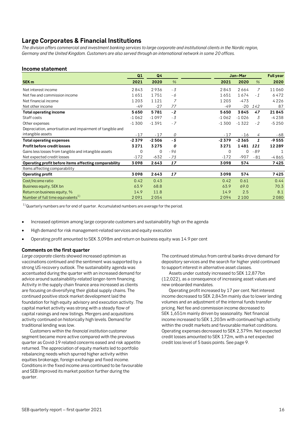## <span id="page-15-0"></span>**Large Corporates & Financial Institutions**

*The division offers commercial and investment banking services to large corporate and institutional clients in the Nordic region, Germany and the United Kingdom. Customers are also served through an international network in some 20 offices.* 

## **Income statement**

|                                                           | Q1      | Q <sub>4</sub> |      |         | Jan-Mar |                | <b>Full year</b> |
|-----------------------------------------------------------|---------|----------------|------|---------|---------|----------------|------------------|
| <b>SEK m</b>                                              | 2021    | 2020           | $\%$ | 2021    | 2020    | $\%$           | 2020             |
| Net interest income                                       | 2843    | 2936           | $-3$ | 2843    | 2664    | $\overline{7}$ | 11060            |
| Net fee and commission income                             | 1651    | 1751           | - 6  | 1651    | 1674    | $-1$           | 6472             |
| Net financial income                                      | 1 2 0 3 | 1121           | 7    | 1 2 0 3 | $-473$  |                | 4226             |
| Net other income                                          | $-49$   | $-27$          | 77   | $-49$   | $-20$   | 142            | 87               |
| <b>Total operating income</b>                             | 5650    | 5781           | $-2$ | 5650    | 3845    | 47             | 21845            |
| Staff costs                                               | $-1062$ | $-1097$        | - 3  | $-1062$ | $-1026$ | 3              | $-4238$          |
| Other expenses                                            | $-1300$ | $-1391$        | $-7$ | $-1300$ | $-1322$ | $-2$           | $-5250$          |
| Depreciation, amortisation and impairment of tangible and |         |                |      |         |         |                |                  |
| intangible assets                                         | $-17$   | $-17$          | 0    | $-17$   | $-16$   | 4              | - 68             |
| <b>Total operating expenses</b>                           | $-2379$ | $-2506$        | $-5$ | $-2379$ | $-2365$ | $\mathbf{1}$   | $-9555$          |
| <b>Profit before credit losses</b>                        | 3271    | 3275           | 0    | 3271    | 1481    | 121            | 12 2 8 9         |
| Gains less losses from tangible and intangible assets     | 0       | 0              | - 96 | 0       | 0       | $-89$          |                  |
| Net expected credit losses                                | $-172$  | $-632$         | - 73 | $-172$  | $-907$  | $-81$          | $-4865$          |
| Operating profit before items affecting comparability     | 3098    | 2643           | 17   | 3098    | 574     |                | 7425             |
| Items affecting comparability                             |         |                |      |         |         |                |                  |
| <b>Operating profit</b>                                   | 3098    | 2643           | 17   | 3098    | 574     |                | 7425             |
| Cost/Income ratio                                         | 0.42    | 0.43           |      | 0.42    | 0.61    |                | 0.44             |
| Business equity, SEK bn                                   | 63.9    | 68.8           |      | 63.9    | 69.0    |                | 70.3             |
| Return on business equity, %                              | 14.9    | 11.8           |      | 14.9    | 2.5     |                | 8.1              |
| Number of full time equivalents <sup>1)</sup>             | 2091    | 2054           |      | 2094    | 2 1 0 0 |                | 2080             |

 $1)$  Quarterly numbers are for end of quarter. Accumulated numbers are average for the period.

- Increased optimism among large corporate customers and sustainability high on the agenda
- High demand for risk management-related services and equity execution
- Operating profit amounted to SEK 3,098m and return on business equity was 14.9 per cent

## **Comments on the first quarter**

*Large corporate* clients showed increased optimism as vaccinations continued and the sentiment was supported by a strong US recovery outlook. The sustainability agenda was accentuated during the quarter with an increased demand for advice around sustainability-related longer-term financing. Activity in the supply chain finance area increased as clients are focusing on diversifying their global supply chains. The continued positive stock market development laid the foundation for high equity advisory and execution activity. The capital market activity was strong with a steady flow of capital raisings and new listings. Mergers and acquisitions activity continued on historically high levels. Demand for traditional lending was low.

 Customers within the *financial institution* customer segment became more active compared with the previous quarter as Covid-19 related concerns eased and risk appetite returned. The appreciation of equity markets led to portfolio rebalancing needs which spurred higher activity within equities brokerage, foreign exchange and fixed income. Conditions in the fixed income area continued to be favourable and SEB improved its market position further during the quarter.

The continued stimulus from central banks drove demand for depository services and the search for higher yield continued to support interest in alternative asset classes.

Assets under custody increased to SEK 12,877bn (12,022), as a consequence of increasing asset values and new onboarded mandates.

Operating profit increased by 17 per cent. Net interest income decreased to SEK 2,843m mainly due to lower lending volumes and an adjustment of the internal funds transfer pricing. Net fee and commission income decreased to SEK 1,651m mainly driven by seasonality. Net financial income increased to SEK 1,203m with continued high activity within the credit markets and favourable market conditions. Operating expenses decreased to SEK 2,379m. Net expected credit losses amounted to SEK 172m, with a net expected credit loss level of 5 basis points. See page 9.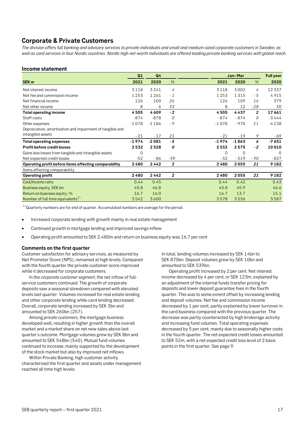## <span id="page-16-0"></span>**Corporate & Private Customers**

*The division offers full banking and advisory services to private individuals and small and medium-sized corporate customers in Sweden, as well as card services in four Nordic countries. Nordic high net-worth individuals are offered leading private banking services with global reach.*

## **Income statement**

|                                                           | Q1      | Q <sub>4</sub> |                | Jan-Mar     |             |                | <b>Full year</b> |
|-----------------------------------------------------------|---------|----------------|----------------|-------------|-------------|----------------|------------------|
| SEK <sub>m</sub>                                          | 2021    | 2020           | $\frac{9}{6}$  | 2021        | 2020        | $\frac{9}{6}$  | 2020             |
| Net interest income                                       | 3118    | 3241           | - 4            | 3118        | 3002        | 4              | 12337            |
| Net fee and commission income                             | 1253    | 1261           | $-1$           | 1253        | 1315        | - 5            | 4915             |
| Net financial income                                      | 126     | 100            | 26             | 126         | 109         | 16             | 379              |
| Net other income                                          | 8       | 6              | 33             | 8           | 12          | $-28$          | 30               |
| <b>Total operating income</b>                             | 4505    | 4609           | $-2$           | 4505        | 4437        | $\overline{2}$ | 17661            |
| Staff costs                                               | $-874$  | $-878$         | 0              | - 874       | $-874$      | 0              | $-3444$          |
| Other expenses                                            | $-1078$ | $-1186$        | $-9$           | $-1078$     | $-970$      | 11             | $-4138$          |
| Depreciation, amortisation and impairment of tangible and |         |                |                |             |             |                |                  |
| intangible assets                                         | $-21$   | $-17$          | 21             | $-21$       | $-19$       | 9              | - 69             |
| <b>Total operating expenses</b>                           | $-1974$ | $-2081$        | $-5$           | $-1974$     | $-1863$     | 6              | $-7651$          |
| <b>Profit before credit losses</b>                        | 2532    | 2528           | 0              | 2532        | 2575        | $-2$           | 10010            |
| Gains less losses from tangible and intangible assets     | 0       |                |                | $\mathbf 0$ | $\mathbf 0$ |                | $\Omega$         |
| Net expected credit losses                                | $-52$   | $-86$          | $-39$          | $-52$       | $-519$      | $-90$          | $-827$           |
| Operating profit before items affecting comparability     | 2480    | 2442           | 2              | 2480        | 2055        | 21             | 9182             |
| Items affecting comparability                             |         |                |                |             |             |                |                  |
| <b>Operating profit</b>                                   | 2480    | 2442           | $\overline{2}$ | 2480        | 2055        | 21             | 9182             |
| Cost/Income ratio                                         | 0.44    | 0.45           |                | 0.44        | 0.42        |                | 0.43             |
| Business equity, SEK bn                                   | 45.8    | 46.8           |                | 45.8        | 45.9        |                | 46.6             |
| Return on business equity, %                              | 16.7    | 16.0           |                | 16.7        | 13.7        |                | 15.1             |
| Number of full time equivalents <sup>1)</sup>             | 3542    | 3600           |                | 3578        | 3536        |                | 3587             |

 $1)$  Quarterly numbers are for end of quarter. Accumulated numbers are average for the period.

- Increased corporate lending with growth mainly in real estate management
- Continued growth in mortgage lending and improved savings inflow
- Operating profit amounted to SEK 2,480m and return on business equity was 16.7 per cent

## **Comments on the first quarter**

Customer satisfaction for advisory services, as measured by Net Promoter Score (NPS), remained at high levels. Compared with the fourth quarter the private customer score improved while it decreased for corporate customers.

In the *corporate customer segment*, the net inflow of fullservice customers continued. The growth of corporate deposits saw a seasonal slowdown compared with elevated levels last quarter. Volumes increased for real estate lending and other corporate lending while card lending decreased. Overall, corporate lending increased by SEK 3bn and amounted to SEK 260bn (257).

Among *private customers*, the mortgage business developed well, resulting in higher growth than the overall market and a market share on net new sales above last quarter's outcome. Mortgage volumes grew by SEK 8bn and amounted to SEK 548bn (540). Mutual fund volumes continued to increase, mainly supported by the development of the stock market but also by improved net inflows.

Within Private Banking, high customer activity characterised the first quarter and assets under management reached all time high levels.

In total, lending volumes increased by SEK 14bn to SEK 870bn. Deposit volumes grew by SEK 10bn and amounted to SEK 539bn.

Operating profit increased by 2 per cent. Net interest income decreased by 4 per cent, or SEK 123m, explained by an adjustment of the internal funds transfer pricing for deposits and lower deposit guarantee fees in the fourth quarter. This was to some extent offset by increasing lending and deposit volumes. Net fee and commission income decreased by 1 per cent, partly explained by lower turnover in the card business compared with the previous quarter. The decrease was partly counteracted by high brokerage activity and increasing fund volumes. Total operating expenses decreased by 5 per cent, mainly due to seasonally higher costs in the fourth quarter. The net expected credit losses amounted to SEK 52m, with a net expected credit loss level of 2 basis points in the first quarter. See page 9.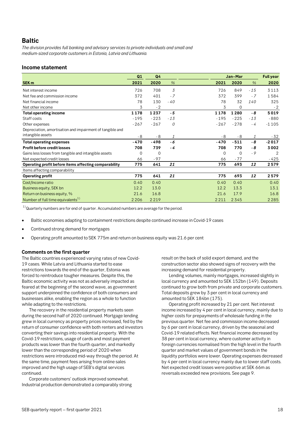## <span id="page-17-0"></span>**Baltic**

*The division provides full banking and advisory services to private individuals and small and medium-sized corporate customers in Estonia, Latvia and Lithuania.*

## **Income statement**

|                                                           | Q1      | Q4          |               | Jan-Mar |             |       | <b>Full year</b> |
|-----------------------------------------------------------|---------|-------------|---------------|---------|-------------|-------|------------------|
| <b>SEK m</b>                                              | 2021    | 2020        | $\frac{9}{6}$ | 2021    | 2020        | $\%$  | 2020             |
| Net interest income                                       | 726     | 708         | 3             | 726     | 849         | $-15$ | 3113             |
| Net fee and commission income                             | 372     | 401         | $-7$          | 372     | 399         | $-7$  | 1584             |
| Net financial income                                      | 78      | 130         | $-40$         | 78      | 32          | 140   | 325              |
| Net other income                                          | 3       | $-2$        |               | 3       | $\mathbf 0$ |       | $-2$             |
| Total operating income                                    | 1178    | 1237        | - 5           | 1178    | 1280        | - 8   | 5019             |
| Staff costs                                               | $-195$  | $-223$      | $-13$         | $-195$  | $-225$      | $-13$ | $-880$           |
| Other expenses                                            | $-267$  | $-267$      | 0             | $-267$  | $-278$      | - 4   | $-1105$          |
| Depreciation, amortisation and impairment of tangible and |         |             |               |         |             |       |                  |
| intangible assets                                         | - 8     | $-8$        | 1             | - 8     | $-8$        | 1     | - 32             |
| <b>Total operating expenses</b>                           | - 470   | - 498       | - 6           | - 470   | $-511$      | - 8   | $-2017$          |
| <b>Profit before credit losses</b>                        | 708     | 739         | - 4           | 708     | 770         | - 8   | 3002             |
| Gains less losses from tangible and intangible assets     | 0       | $\mathbf 0$ |               | 0       | $\mathbf 0$ | - 9   | 2                |
| Net expected credit losses                                | 66      | $-97$       |               | 66      | $-77$       |       | - 425            |
| Operating profit before items affecting comparability     | 775     | 641         | 21            | 775     | 693         | 12    | 2579             |
| Items affecting comparability                             |         |             |               |         |             |       |                  |
| <b>Operating profit</b>                                   | 775     | 641         | 21            | 775     | 693         | 12    | 2579             |
| Cost/Income ratio                                         | 0.40    | 0.40        |               | 0.40    | 0.40        |       | 0.40             |
| Business equity, SEK bn                                   | 12.2    | 13.0        |               | 12.2    | 13.3        |       | 13.1             |
| Return on business equity, %                              | 21.6    | 16.8        |               | 21.6    | 17.9        |       | 16.8             |
| Number of full time equivalents <sup>1)</sup>             | 2 2 0 6 | 2219        |               | 2211    | 2345        |       | 2 2 8 5          |

 $1)$  Quarterly numbers are for end of quarter. Accumulated numbers are average for the period.

- Baltic economies adapting to containment restrictions despite continued increase in Covid-19 cases
- Continued strong demand for mortgages
- Operating profit amounted to SEK 775m and return on business equity was 21.6 per cent

## **Comments on the first quarter**

The Baltic countries experienced varying rates of new Covid-19 cases. While Latvia and Lithuania started to ease restrictions towards the end of the quarter, Estonia was forced to reintroduce tougher measures. Despite this, the Baltic economic activity was not as adversely impacted as feared at the beginning of the second wave, as government support underpinned the confidence of both consumers and businesses alike, enabling the region as a whole to function while adapting to the restrictions.

The recovery in the residential property markets seen during the second half of 2020 continued. Mortgage lending grew in local currency as property prices increased, fed by the return of consumer confidence with both renters and investors converting their savings into residential property. With the Covid-19 restrictions, usage of cards and most payment products was lower than the fourth quarter, and markedly lower than the corresponding period of 2020 when restrictions were introduced mid-way through the period. At the same time, payment fees arising from online sales improved and the high usage of SEB's digital services continued.

Corporate customers' outlook improved somewhat. Industrial production demonstrated a comparably strong

result on the back of solid export demand, and the construction sector also showed signs of recovery with the increasing demand for residential property.

Lending volumes, mainly mortgages, increased slightly in local currency and amounted to SEK 152bn (149). Deposits continued to grow both from private and corporate customers. Total deposits grew by 3 per cent in local currency and amounted to SEK 184bn (175).

Operating profit increased by 21 per cent. Net interest income increased by 4 per cent in local currency, mainly due to higher costs for prepayments of wholesale funding in the previous quarter. Net fee and commission income decreased by 6 per cent in local currency, driven by the seasonal and Covid-19 related effects. Net financial income decreased by 38 per cent in local currency, where customer activity in foreign currencies normalised from the high level in the fourth quarter and market values of government bonds in the liquidity portfolios were lower. Operating expenses decreased by 4 per cent in local currency mainly due to lower staff costs. Net expected credit losses were positive at SEK 66m as reversals exceeded new provisions. See page 9.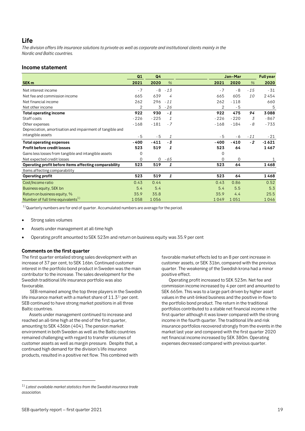## <span id="page-18-0"></span>**Life**

*The division offers life insurance solutions to private as well as corporate and institutional clients mainly in the Nordic and Baltic countries.* 

## **Income statement**

|                                                           | Q1             | Q <sub>4</sub> |       |        | Jan-Mar |       | <b>Full year</b> |
|-----------------------------------------------------------|----------------|----------------|-------|--------|---------|-------|------------------|
| SEK <sub>m</sub>                                          | 2021           | 2020           | $\%$  | 2021   | 2020    | $\%$  | 2020             |
| Net interest income                                       | $-7$           | - 8            | $-13$ | $-7$   | $-8$    | $-15$ | $-31$            |
| Net fee and commission income                             | 665            | 639            | 4     | 665    | 605     | 10    | 2454             |
| Net financial income                                      | 262            | 296            | $-11$ | 262    | $-118$  |       | 660              |
| Net other income                                          | $\overline{2}$ | 3              | $-26$ | 2      | - 5     |       | 5                |
| Total operating income                                    | 922            | 930            | $-1$  | 922    | 475     | 94    | 3088             |
| Staff costs                                               | $-226$         | $-225$         | 1     | $-226$ | $-220$  | 3     | $-867$           |
| Other expenses                                            | $-168$         | $-181$         | $-7$  | $-168$ | $-184$  | $-8$  | $-733$           |
| Depreciation, amortisation and impairment of tangible and |                |                |       |        |         |       |                  |
| intangible assets                                         | $-5$           | $-5$           | 1     | $-5$   | - 6     | $-11$ | - 21             |
| <b>Total operating expenses</b>                           | - 400          | $-411$         | $-3$  | $-400$ | $-410$  | $-2$  | $-1621$          |
| <b>Profit before credit losses</b>                        | 523            | 519            | 1     | 523    | 64      |       | 1467             |
| Gains less losses from tangible and intangible assets     | 0              |                |       | 0      |         |       |                  |
| Net expected credit losses                                | 0              | 0              | - 65  | 0      | 0       |       |                  |
| Operating profit before items affecting comparability     | 523            | 519            | 1     | 523    | 64      |       | 1468             |
| Items affecting comparability                             |                |                |       |        |         |       |                  |
| <b>Operating profit</b>                                   | 523            | 519            | 1     | 523    | 64      |       | 1468             |
| Cost/Income ratio                                         | 0.43           | 0.44           |       | 0.43   | 0.86    |       | 0.52             |
| Business equity, SEK bn                                   | 5.4            | 5.4            |       | 5.4    | 5.5     |       | 5.3              |
| Return on business equity, %                              | 35.9           | 35.8           |       | 35.9   | 4.4     |       | 25.5             |
| Number of full time equivalents <sup>1)</sup>             | 1058           | 1056           |       | 1049   | 1051    |       | 1046             |

 $1)$  Quarterly numbers are for end of quarter. Accumulated numbers are average for the period.

- Strong sales volumes
- Assets under management at all-time high
- Operating profit amounted to SEK 523m and return on business equity was 35.9 per cent

## **Comments on the first quarter**

The first quarter entailed strong sales development with an increase of 37 per cent, to SEK 16bn. Continued customer interest in the portfolio bond product in Sweden was the main contributor to the increase. The sales development for the Swedish traditional life insurance portfolio was also favourable.

 SEB remained among the top three players in the Swedish life insurance market with a market share of  $11.3<sup>1</sup>$  per cent. SEB continued to have strong market positions in all three Baltic countries.

Assets under management continued to increase and reached an all-time high at the end of the first quarter, amounting to SEK 436bn (404). The pension market environment in both Sweden as well as the Baltic countries remained challenging with regard to transfer volumes of customer assets as well as margin pressure. Despite that, a continued high demand for the division's life insurance products, resulted in a positive net flow. This combined with favorable market effects led to an 8 per cent increase in customer assets, or SEK 31bn, compared with the previous quarter. The weakening of the Swedish krona had a minor positive effect.

Operating profit increased to SEK 523m. Net fee and commission income increased by 4 per cent and amounted to SEK 665m. This was to a large part driven by higher asset values in the unit-linked business and the positive in-flow to the portfolio bond product. The return in the traditional portfolios contributed to a stable net financial income in the first quarter although it was lower compared with the strong income in the fourth quarter. The traditional life and risk insurance portfolios recovered strongly from the events in the market last year and compared with the first quarter 2020 net financial income increased by SEK 380m. Operating expenses decreased compared with previous quarter.

<span id="page-18-2"></span><span id="page-18-1"></span><sup>1)</sup> *Latest available market statistics from the Swedish insurance trade association.*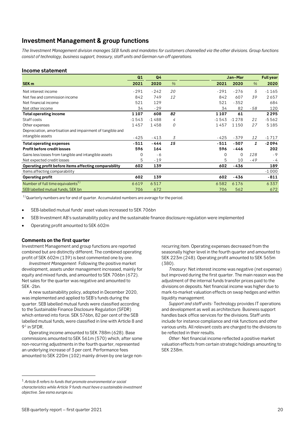## **Investment Management & group functions**

*The Investment Management division manages SEB funds and mandates for customers channelled via the other divisions. Group functions consist of technology, business support, treasury, staff units and German run-off operations.* 

## **Income statement**

|                                                           | Q1       | Q <sub>4</sub> |               | Jan-Mar |          |              | <b>Full year</b> |
|-----------------------------------------------------------|----------|----------------|---------------|---------|----------|--------------|------------------|
| <b>SEK m</b>                                              | 2021     | 2020           | $\frac{9}{6}$ | 2021    | 2020     | $\%$         | 2020             |
| Net interest income                                       | $-291$   | $-242$         | 20            | $-291$  | $-276$   | 5            | $-1165$          |
| Net fee and commission income                             | 842      | 749            | 12            | 842     | 607      | 39           | 2657             |
| Net financial income                                      | 521      | 129            |               | 521     | $-352$   |              | 684              |
| Net other income                                          | 34       | $-29$          |               | 34      | 82       | - 58         | 120              |
| Total operating income                                    | 1107     | 608            | 82            | 1 1 0 7 | 61       |              | 2295             |
| Staff costs                                               | $-1543$  | $-1488$        | 4             | $-1543$ | $-1278$  | 21           | $-5562$          |
| Other expenses                                            | 1457     | 1458           | 0             | 1457    | 1150     | 27           | 5185             |
| Depreciation, amortisation and impairment of tangible and |          |                |               |         |          |              |                  |
| intangible assets                                         | - 425    | $-413$         | 3             | - 425   | $-379$   | 12           | $-1717$          |
| <b>Total operating expenses</b>                           | $-511$   | - 444          | 15            | $-511$  | $-507$   | $\mathbf{1}$ | $-2094$          |
| <b>Profit before credit losses</b>                        | 596      | 164            |               | 596     | -446     |              | 202              |
| Gains less losses from tangible and intangible assets     | $\Omega$ | - 6            |               | 0       | $\Omega$ | 128          | $-9$             |
| Net expected credit losses                                | 5.       | $-19$          |               | 5       | 10       | $-49$        | - 4              |
| Operating profit before items affecting comparability     | 602      | 139            |               | 602     | -436     |              | 189              |
| Items affecting comparability                             |          |                |               |         |          |              | $-1000$          |
| <b>Operating profit</b>                                   | 602      | 139            |               | 602     | -436     |              | $-811$           |
| Number of full time equivalents <sup>1)</sup>             | 6619     | 6517           |               | 6582    | 6176     |              | 6337             |
| SEB labelled mutual funds, SEK bn                         | 706      | 672            |               | 706     | 562      |              | 672              |

 $1)$  Quarterly numbers are for end of quarter. Accumulated numbers are average for the period.

- SEB Investment AB's sustainability policy and the sustainable finance disclosure regulation were implemented
- Operating profit amounted to SEK 602m

## **Comments on the first quarter**

Investment Management and group functions are reported combined but are distinctly different. The combined operating profit of SEK 602m (139) is best commented one by one.

*Investment Management*: Following the positive market development, assets under management increased, mainly for equity and mixed funds, and amounted to SEK 706bn (672). Net sales for the quarter was negative and amounted to SEK -2bn.

A new sustainability policy, adopted in December 2020, was implemented and applied to SEB's funds during the quarter. SEB labelled mutual funds were classified according to the Sustainable Finance Disclosure Regulation (SFDR) which entered into force. SEK 576bn, 82 per cent of the SEB labelled mutual funds, were classified in line with Article 8 and [91](#page-19-0) in SFDR.

Operating income amounted to SEK 788m (628). Base commissions amounted to SEK 561m (570) which, after some non-recurring adjustments in the fourth quarter, represented an underlying increase of 3 per cent. Performance fees amounted to SEK 220m (102) mainly driven by one large nonrecurring item. Operating expenses decreased from the seasonally higher level in the fourth quarter and amounted to SEK 223m (248). Operating profit amounted to SEK 565m (380).

*Treasury*: Net interest income was negative (net expense) but improved during the first quarter. The main reason was the adjustment of the internal funds transfer prices paid to the divisions on deposits. Net financial income was higher due to mark-to-market valuation effects on swap hedges and within liquidity management.

*Support and staff units:* Technology provides IT operations and development as well as architecture. Business support handles back office services for the divisions. Staff units include for instance compliance and risk functions and other various units. All relevant costs are charged to the divisions to be reflected in their results.

*Other*: Net financial income reflected a positive market valuation effects from certain strategic holdings amounting to SEK 238m.

<sup>•</sup> SEB-labelled mutual funds' asset values increased to SEK 706bn

<span id="page-19-0"></span><sup>1</sup> *Article 8 refers to funds that promote environmental or social characteristics while Article 9 funds must have a sustainable investment objective. See esma.europe.eu.*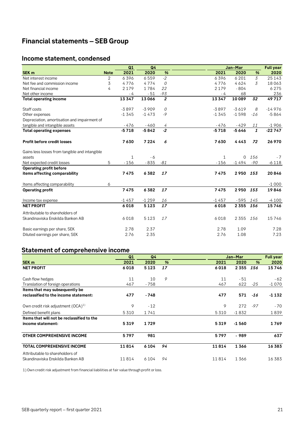## <span id="page-20-0"></span>**Financial statements – SEB Group**

## <span id="page-20-1"></span>**Income statement, condensed**

|                                                |             | Q1           | Q4      |                |         | Jan-Mar  |                         | <b>Full year</b> |
|------------------------------------------------|-------------|--------------|---------|----------------|---------|----------|-------------------------|------------------|
| <b>SEK m</b>                                   | <b>Note</b> | 2021         | 2020    | %              | 2021    | 2020     | %                       | 2020             |
| Net interest income                            | 2           | 6396         | 6559    | $-2$           | 6396    | 6 2 0 1  | $\overline{3}$          | 25143            |
| Net fee and commission income                  | 3           | 4776         | 4774    | 0              | 4776    | 4624     | 3                       | 18063            |
| Net financial income                           | 4           | 2 1 7 9      | 1784    | 22             | 2179    | $-804$   |                         | 6275             |
| Net other income                               |             | - 4          | $-51$   | $-93$          | - 4     | 68       |                         | 236              |
| <b>Total operating income</b>                  |             | 13347        | 13066   | $\overline{2}$ | 13347   | 10089    | 32                      | 49717            |
| Staff costs                                    |             | $-3897$      | $-3909$ | 0              | $-3897$ | $-3619$  | 8                       | $-14976$         |
| Other expenses                                 |             | $-1345$      | $-1473$ | $-9$           | $-1345$ | $-1598$  | $-16$                   | $-5864$          |
| Depreciation, amortisation and impairment of   |             |              |         |                |         |          |                         |                  |
| tangible and intangible assets                 |             | $-476$       | $-460$  | 4              | - 476   | $-429$   | 11                      | $-1906$          |
| <b>Total operating expenses</b>                |             | $-5718$      | $-5842$ | $-2$           | $-5718$ | $-5646$  | $\overline{\mathbf{1}}$ | $-22747$         |
| <b>Profit before credit losses</b>             |             | 7630         | 7 2 2 4 | 6              | 7630    | 4443     | 72                      | 26 970           |
| Gains less losses from tangible and intangible |             |              |         |                |         |          |                         |                  |
| assets                                         |             | $\mathbf{1}$ | - 6     |                | 1       | $\Omega$ | 156                     | $-7$             |
| Net expected credit losses                     | 5           | $-156$       | $-835$  | $-81$          | $-156$  | $-1494$  | $-90$                   | $-6118$          |
| <b>Operating profit before</b>                 |             |              |         |                |         |          |                         |                  |
| items affecting comparability                  |             | 7475         | 6382    | 17             | 7475    | 2950     | 153                     | 20846            |
| Items affecting comparability                  | 6           |              |         |                |         |          |                         | $-1000$          |
| <b>Operating profit</b>                        |             | 7475         | 6382    | 17             | 7475    | 2950     | 153                     | 19846            |
| Income tax expense                             |             | $-1457$      | $-1259$ | 16             | $-1457$ | $-595$   | 145                     | $-4100$          |
| <b>NET PROFIT</b>                              |             | 6018         | 5123    | 17             | 6018    | 2 3 5 5  | 156                     | 15746            |
| Attributable to shareholders of                |             |              |         |                |         |          |                         |                  |
| Skandinaviska Enskilda Banken AB               |             | 6018         | 5123    | 17             | 6018    | 2 3 5 5  | 156                     | 15746            |
| Basic earnings per share, SEK                  |             | 2.78         | 2.37    |                | 2.78    | 1.09     |                         | 7.28             |
| Diluted earnings per share, SEK                |             | 2.76         | 2.35    |                | 2.76    | 1.08     |                         | 7.23             |

## <span id="page-20-2"></span>**Statement of comprehensive income**

|                                                | Q1    | Q <sub>4</sub> |               |       | Jan-Mar |               |         |
|------------------------------------------------|-------|----------------|---------------|-------|---------|---------------|---------|
| SEK <sub>m</sub>                               | 2021  | 2020           | $\frac{9}{6}$ | 2021  | 2020    | $\frac{9}{6}$ | 2020    |
| <b>NET PROFIT</b>                              | 6018  | 5123           | 17            | 6018  | 2355    | 156           | 15746   |
|                                                |       |                |               |       |         |               |         |
| Cash flow hedges                               | 11    | 10             | 9             | 11    | $-51$   |               | $-62$   |
| Translation of foreign operations              | 467   | - 758          |               | 467   | 622     | $-25$         | $-1070$ |
| Items that may subsequently be                 |       |                |               |       |         |               |         |
| reclassified to the income statement:          | 477   | $-748$         |               | 477   | 571     | $-16$         | $-1132$ |
| Own credit risk adjustment (OCA) <sup>1)</sup> | 9     | $-12$          |               | 9     | 272     | $-97$         | $-70$   |
| Defined benefit plans                          | 5310  | 1741           |               | 5310  | $-1832$ |               | 1839    |
| Items that will not be reclassified to the     |       |                |               |       |         |               |         |
| income statement:                              | 5319  | 1729           |               | 5319  | $-1560$ |               | 1769    |
| <b>OTHER COMPREHENSIVE INCOME</b>              | 5797  | 981            |               | 5797  | $-989$  |               | 637     |
| <b>TOTAL COMPREHENSIVE INCOME</b>              | 11814 | 6 1 0 4        | 94            | 11814 | 1366    |               | 16383   |
| Attributable to shareholders of                |       |                |               |       |         |               |         |
| Skandinaviska Enskilda Banken AB               | 11814 | 6 1 0 4        | 94            | 11814 | 1366    |               | 16 383  |

1) Own credit risk adjustment from financial liabilities at fair value through profit or loss.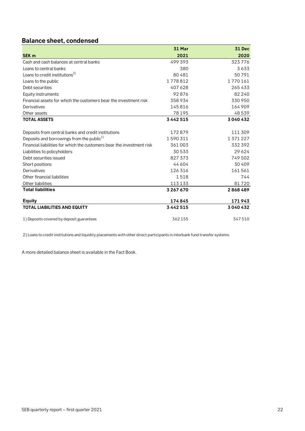## <span id="page-21-0"></span>**Balance sheet, condensed**

|                                                                        | <b>31 Mar</b> | <b>31 Dec</b> |
|------------------------------------------------------------------------|---------------|---------------|
| <b>SEK m</b>                                                           | 2021          | 2020          |
| Cash and cash balances at central banks                                | 499 393       | 323776        |
| Loans to central banks                                                 | 380           | 3633          |
| Loans to credit institutions <sup>2)</sup>                             | 80 481        | 50791         |
| Loans to the public                                                    | 1778812       | 1770161       |
| Debt securities                                                        | 407 628       | 265433        |
| Equity instruments                                                     | 92876         | 82 240        |
| Financial assets for which the customers bear the investment risk      | 358934        | 330 950       |
| Derivatives                                                            | 145816        | 164 909       |
| Other assets                                                           | 78 195        | 48 539        |
| <b>TOTAL ASSETS</b>                                                    | 3 4 4 2 5 1 5 | 3040432       |
| Deposits from central banks and credit institutions                    | 172879        | 111 309       |
| Deposits and borrowings from the public <sup>1)</sup>                  | 1590311       | 1 371 227     |
| Financial liabilities for which the customers bear the investment risk | 361 003       | 332 392       |
| Liabilities to policyholders                                           | 30 533        | 29 6 24       |
| Debt securities issued                                                 | 827 373       | 749 502       |
| Short positions                                                        | 44 604        | 30 40 9       |
| Derivatives                                                            | 126 316       | 161561        |
| Other financial liabilities                                            | 1518          | 744           |
| Other liabilities                                                      | 113 133       | 81720         |
| <b>Total liabilities</b>                                               | 3 267 670     | 2868489       |
| <b>Equity</b>                                                          | 174845        | 171943        |
| <b>TOTAL LIABILITIES AND EQUITY</b>                                    | 3 4 4 2 5 1 5 | 3040432       |
| 1) Deposits covered by deposit guarantees                              | 362155        | 347510        |

2) Loans to credit institutions and liquidity placements with other direct participants in interbank fund transfer systems.

A more detailed balance sheet is available in the Fact Book.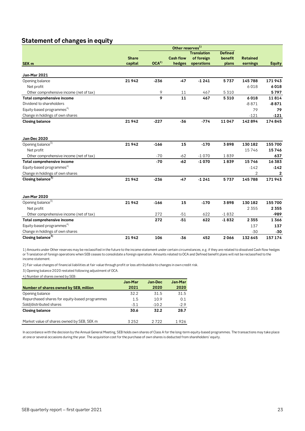## <span id="page-22-0"></span>**Statement of changes in equity**

|                                          |              |                  | Other reserves <sup>1)</sup> |                    |                |                 |               |
|------------------------------------------|--------------|------------------|------------------------------|--------------------|----------------|-----------------|---------------|
|                                          |              |                  |                              | <b>Translation</b> | <b>Defined</b> |                 |               |
|                                          | <b>Share</b> |                  | <b>Cash flow</b>             | of foreign         | benefit        | <b>Retained</b> |               |
| SEK <sub>m</sub>                         | capital      | OCA <sup>2</sup> | hedges                       | operations         | plans          | earnings        | <b>Equity</b> |
| <b>Jan-Mar 2021</b>                      |              |                  |                              |                    |                |                 |               |
| Opening balance                          | 21942        | $-236$           | $-47$                        | $-1241$            | 5737           | 145788          | 171943        |
| Net profit                               |              |                  |                              |                    |                | 6018            | 6018          |
| Other comprehensive income (net of tax)  |              | 9                | 11                           | 467                | 5 3 1 0        |                 | 5797          |
| Total comprehensive income               |              | 9                | 11                           | 467                | 5310           | 6018            | 11814         |
| Dividend to shareholders                 |              |                  |                              |                    |                | $-8871$         | $-8871$       |
| Equity-based programmes <sup>4)</sup>    |              |                  |                              |                    |                | 79              | 79            |
| Change in holdings of own shares         |              |                  |                              |                    |                | $-121$          | $-121$        |
| <b>Closing balance</b>                   | 21942        | $-227$           | $-36$                        | $-774$             | 11047          | 142894          | 174845        |
| Jan-Dec 2020                             |              |                  |                              |                    |                |                 |               |
| Opening balance <sup>3)</sup>            | 21942        | $-166$           | 15                           | $-170$             | 3898           | 130 182         | 155 700       |
| Net profit                               |              |                  |                              |                    |                | 15746           | 15746         |
| Other comprehensive income (net of tax)  |              | $-70$            | $-62$                        | $-1070$            | 1839           |                 | 637           |
| Total comprehensive income               |              | $-70$            | $-62$                        | $-1070$            | 1839           | 15746           | 16 383        |
| Equity-based programmes <sup>4)</sup>    |              |                  |                              |                    |                | $-142$          | $-142$        |
| Change in holdings of own shares         |              |                  |                              |                    |                | $\overline{2}$  | 2             |
| Closing balance <sup>3)</sup>            | 21942        | $-236$           | $-47$                        | $-1241$            | 5737           | 145788          | 171943        |
|                                          |              |                  |                              |                    |                |                 |               |
| <b>Jan-Mar 2020</b>                      |              |                  |                              |                    |                |                 |               |
| Opening balance <sup>3)</sup>            | 21942        | $-166$           | 15                           | $-170$             | 3898           | 130 182         | 155 700       |
| Net profit                               |              |                  |                              |                    |                | 2 3 5 5         | 2 3 5 5       |
| Other comprehensive income (net of tax)  |              | 272              | $-51$                        | 622                | $-1832$        |                 | -989          |
| Total comprehensive income               |              | 272              | $-51$                        | 622                | $-1832$        | 2 3 5 5         | 1366          |
| Equity-based programmes <sup>4)</sup>    |              |                  |                              |                    |                | 137             | 137           |
| Change in holdings of own shares         |              |                  |                              |                    |                | $-30$           | $-30$         |
| Closing balance $\overline{\frac{3}{2}}$ | 21942        | 106              | $-36$                        | 452                | 2066           | 132 645         | 157 174       |

1) Amounts under Other reserves may be reclassified in the future to the income statement under certain circumstances, e.g. if they are related to dissolved Cash flow hedges or Translation of foreign operations when SEB ceases to consolidate a foreign operation. Amounts related to OCA and Defined benefit plans will not be reclassified to the income statement.

2) Fair value changes of financial liabilities at fair value through profit or loss attributable to changes in own credit risk.

3) Opening balance 2020 restated following adjustment of OCA.

4) Number of shares owned by SEB:

| Jan-Mar | Jan-Dec | Jan-Mar |
|---------|---------|---------|
| 2021    | 2020    | 2020    |
| 322     | 31.5    | 31.5    |
| 1.5     | 10.9    | 0.1     |
| $-3.1$  | $-10.2$ | $-2.9$  |
| 30.6    | 32.2    | 28.7    |
| 3252    | 2722    | 1926    |
|         |         |         |

In accordance with the decision by the Annual General Meeting, SEB holds own shares of Class A for the long-term equity-based programmes. The transactions may take place at one or several occasions during the year. The acquisition cost for the purchase of own shares is deducted from shareholders' equity.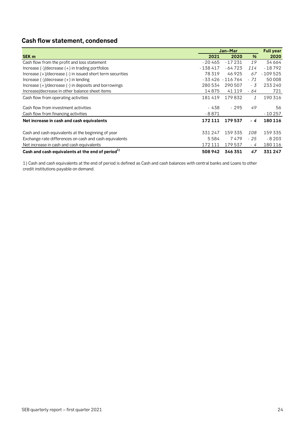## <span id="page-23-0"></span>**Cash flow statement, condensed**

|                                                              | Jan-Mar   |                   |               | <b>Full year</b> |
|--------------------------------------------------------------|-----------|-------------------|---------------|------------------|
| SEK <sub>m</sub>                                             | 2021      | 2020              | %             | 2020             |
| Cash flow from the profit and loss statement                 | $-20465$  | - 17 231          | 19            | 34 664           |
| Increase $(-)/$ decrease $(+)$ in trading portfolios         | $-138417$ | $-64723$          | 114           | $-18792$         |
| Increase (+)/decrease (-) in issued short term securities    | 78 319    | 46925             | 67            | $-109525$        |
| Increase $(-1)$ decrease $(+)$ in lending                    |           | $-33426 - 116764$ | $-71$         | 50 008           |
| Increase $(+)/$ decrease $(-)$ in deposits and borrowings    | 280534    | 290 507           | - 3           | 233 240          |
| Increase/decrease in other balance sheet items               | 14875     | 41 1 1 9          | - 64          | 721              |
| Cash flow from operating activities                          | 181419    | 179832            | $\mathcal{I}$ | 190 316          |
| Cash flow from investment activities                         | - 438     | $-295$            | 49            | 56               |
| Cash flow from financing activities                          | -8871     |                   |               | $-10257$         |
| Net increase in cash and cash equivalents                    | 172 111   | 179537            | - 4           | 180 116          |
| Cash and cash equivalents at the beginning of year           | 331 247   | 159 335           | 108           | 159 335          |
| Exchange rate differences on cash and cash equivalents       | 5584      | 7479              | $-25$         | $-8203$          |
| Net increase in cash and cash equivalents                    | 172 111   | 179537            | - 4           | 180 116          |
| Cash and cash equivalents at the end of period <sup>1)</sup> | 508 942   | 346 351           | 47            | 331 247          |

1) Cash and cash equivalents at the end of period is defined as Cash and cash balances with central banks and Loans to other credit institutions payable on demand.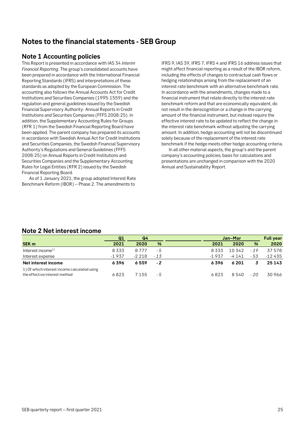## <span id="page-24-0"></span>**Notes to the financial statements - SEB Group**

## <span id="page-24-1"></span>**Note 1 Accounting policies**

This Report is presented in accordance with IAS 34 *Interim Financial Reporting.* The group's consolidated accounts have been prepared in accordance with the International Financial Reporting Standards (IFRS) and interpretations of these standards as adopted by the European Commission. The accounting also follows the Annual Accounts Act for Credit Institutions and Securities Companies (1995:1559) and the regulation and general guidelines issued by the Swedish Financial Supervisory Authority: Annual Reports in Credit Institutions and Securities Companies (FFFS 2008:25). In addition, the Supplementary Accounting Rules for Groups (RFR 1) from the Swedish Financial Reporting Board have been applied. The parent company has prepared its accounts in accordance with Swedish Annual Act for Credit Institutions and Securities Companies, the Swedish Financial Supervisory Authority's Regulations and General Guidelines (FFFS 2008:25) on Annual Reports in Credit Institutions and Securities Companies and the Supplementary Accounting Rules for Legal Entities (RFR 2) issued by the Swedish Financial Reporting Board.

As of 1 January 2021, the group adopted Interest Rate Benchmark Reform (IBOR) – Phase 2. The amendments to

IFRS 9, IAS 39, IFRS 7, IFRS 4 and IFRS 16 address issues that might affect financial reporting as a result of the IBOR reform, including the effects of changes to contractual cash flows or hedging relationships arising from the replacement of an interest rate benchmark with an alternative benchmark rate. In accordance with the amendments, changes made to a financial instrument that relate directly to the interest rate benchmark reform and that are economically equivalent, do not result in the derecognition or a change in the carrying amount of the financial instrument, but instead require the effective interest rate to be updated to reflect the change in the interest rate benchmark without adjusting the carrying amount. In addition, hedge accounting will not be discontinued solely because of the replacement of the interest rate benchmark if the hedge meets other hedge accounting criteria.

In all other material aspects, the group's and the parent company's accounting policies, basis for calculations and presentations are unchanged in comparison with the 2020 Annual and Sustainability Report.

## <span id="page-24-2"></span>**Note 2 Net interest income**

|                                                                               | Q1      | Q4      |               |         | Jan-Mar  |               | <b>Full year</b> |
|-------------------------------------------------------------------------------|---------|---------|---------------|---------|----------|---------------|------------------|
| SEK <sub>m</sub>                                                              | 2021    | 2020    | $\frac{9}{6}$ | 2021    | 2020     | $\frac{9}{6}$ | 2020             |
| Interest income <sup>1)</sup>                                                 | 8333    | 8777    | - 5           | 8 3 3 3 | 10 342   | $-19$         | 37578            |
| Interest expense                                                              | $-1937$ | $-2218$ | $-13$         | -1937   | -4 1 4 1 | - 53          | $-12435$         |
| Net interest income                                                           | 6396    | 6559    | $-2$          | 6396    | 6 201    |               | 25143            |
| 1) Of which interest income calculated using<br>the effective interest method | 6823    | 7 155   | - 5           | 6823    | 8540     | $-20$         | 30966            |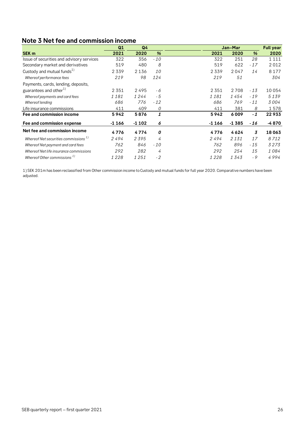## <span id="page-25-0"></span>**Note 3 Net fee and commission income**

|                                            | Q1      | Q <sub>4</sub> |               |         | Jan-Mar |       | <b>Full year</b> |
|--------------------------------------------|---------|----------------|---------------|---------|---------|-------|------------------|
| SEK <sub>m</sub>                           | 2021    | 2020           | $\frac{9}{6}$ | 2021    | 2020    | %     | 2020             |
| Issue of securities and advisory services  | 322     | 356            | $-10$         | 322     | 251     | 28    | 1 1 1 1          |
| Secondary market and derivatives           | 519     | 480            | 8             | 519     | 622     | $-17$ | 2012             |
| Custody and mutual funds <sup>1)</sup>     | 2339    | 2 1 3 6        | <i>10</i>     | 2339    | 2047    | 14    | 8 1 7 7          |
| Whereof performance fees                   | 219     | 98             | 124           | 219     | 51      |       | 304              |
| Payments, cards, lending, deposits,        |         |                |               |         |         |       |                  |
| guarantees and other <sup>1)</sup>         | 2 3 5 1 | 2495           | - 6           | 2 3 5 1 | 2708    | $-13$ | 10054            |
| Whereof payments and card fees             | 1181    | 1244           | - 5           | 1181    | 1454    | $-19$ | 5139             |
| Whereof lending                            | 686     | 776            | $-12$         | 686     | 769     | $-11$ | 3004             |
| Life insurance commissions                 | 411     | 409            | 0             | 411     | 381     | 8     | 1578             |
| Fee and commission income                  | 5942    | 5876           | 1             | 5942    | 6009    | $-1$  | 22933            |
| Fee and commission expense                 | -1 166  | $-1102$        | 6             | $-1166$ | $-1385$ | - 16  | -4870            |
| Net fee and commission income              | 4776    | 4774           | 0             | 4776    | 4624    | 3     | 18063            |
| Whereof Net securities commissions $^{1)}$ | 2494    | 2395           | 4             | 2494    | 2 1 3 1 | 17    | 8712             |
| Whereof Net payment and card fees          | 762     | 846            | $-10$         | 762     | 896     | - 15  | 3273             |
| Whereof Net life insurance commissions     | 292     | 282            | 4             | 292     | 254     | 15    | 1084             |
| Whereof Other commissions <sup>1)</sup>    | 1228    | 1251           | $-2$          | 1228    | 1343    | $-9$  | 4994             |

1) SEK 201m has been reclassified from Other commission income to Custody and mutual funds for full year 2020. Comparative numbers have been adjusted.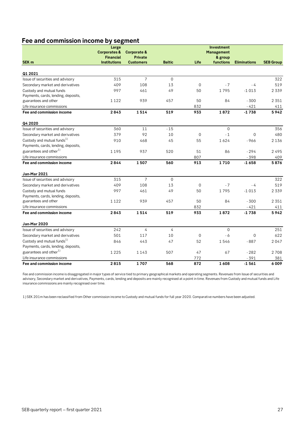## **Fee and commission income by segment**

|                                        | Large                   |                        |               |                | Investment        |                     |                  |
|----------------------------------------|-------------------------|------------------------|---------------|----------------|-------------------|---------------------|------------------|
|                                        | <b>Corporates &amp;</b> | <b>Corporate &amp;</b> |               |                | <b>Management</b> |                     |                  |
|                                        | <b>Financial</b>        | <b>Private</b>         |               |                | & group           |                     |                  |
| <b>SEK m</b>                           | <b>Institutions</b>     | <b>Customers</b>       | <b>Baltic</b> | Life           | functions         | <b>Eliminations</b> | <b>SEB Group</b> |
|                                        |                         |                        |               |                |                   |                     |                  |
| Q1 2021                                |                         |                        |               |                |                   |                     |                  |
| Issue of securities and advisory       | 315                     | $\overline{7}$         | $\mathbf{0}$  |                |                   |                     | 322              |
| Secondary market and derivatives       | 409                     | 108                    | 13            | $\overline{0}$ | $-7$              | $-4$                | 519              |
| Custody and mutual funds               | 997                     | 461                    | 49            | 50             | 1795              | $-1013$             | 2339             |
| Payments, cards, lending, deposits,    |                         |                        |               |                |                   |                     |                  |
| guarantees and other                   | 1 1 2 2                 | 939                    | 457           | 50             | 84                | $-300$              | 2 3 5 1          |
| Life insurance commissions             |                         |                        |               | 832            |                   | $-421$              | 411              |
| Fee and commission income              | 2843                    | 1514                   | 519           | 933            | 1872              | $-1738$             | 5942             |
| Q4 2020                                |                         |                        |               |                |                   |                     |                  |
| Issue of securities and advisory       | 360                     | 11                     | $-15$         |                | $\overline{0}$    |                     | 356              |
| Secondary market and derivatives       | 379                     | 92                     | 10            | $\mathbf 0$    | $-1$              | $\overline{0}$      | 480              |
| Custody and mutual funds <sup>1)</sup> | 910                     | 468                    | 45            | 55             | 1624              | $-966$              | 2 1 3 6          |
| Payments, cards, lending, deposits,    |                         |                        |               |                |                   |                     |                  |
| guarantees and other <sup>1)</sup>     | 1195                    | 937                    | 520           | 51             | 86                | $-294$              | 2495             |
| Life insurance commissions             |                         |                        |               | 807            |                   | $-398$              | 409              |
| Fee and commission income              | 2844                    | 1507                   | 560           | 913            | 1710              | $-1658$             | 5876             |
| <b>Jan-Mar 2021</b>                    |                         |                        |               |                |                   |                     |                  |
| Issue of securities and advisory       | 315                     | $\overline{7}$         | $\mathbf 0$   |                |                   |                     | 322              |
| Secondary market and derivatives       | 409                     | 108                    | 13            | $\overline{0}$ | $-7$              | $-4$                | 519              |
| Custody and mutual funds               | 997                     | 461                    | 49            | 50             | 1795              | $-1013$             | 2 3 3 9          |
| Payments, cards, lending, deposits,    |                         |                        |               |                |                   |                     |                  |
| guarantees and other                   | 1 1 2 2                 | 939                    | 457           | 50             | 84                | $-300$              | 2 3 5 1          |
| Life insurance commissions             |                         |                        |               | 832            |                   | $-421$              | 411              |
| Fee and commission income              | 2843                    | 1514                   | 519           | 933            | 1872              | $-1738$             | 5942             |
| Jan-Mar 2020                           |                         |                        |               |                |                   |                     |                  |
| Issue of securities and advisory       | 242                     | 4                      | 4             |                | $\mathbf 0$       |                     | 251              |
| Secondary market and derivatives       | 501                     | 117                    | 10            | $\Omega$       | $-6$              | $\mathbf 0$         | 622              |
| Custody and mutual funds <sup>1)</sup> | 846                     | 443                    | 47            | 52             | 1546              | $-887$              | 2047             |
| Payments, cards, lending, deposits,    |                         |                        |               |                |                   |                     |                  |
| guarantees and other <sup>1)</sup>     | 1 2 2 5                 | 1143                   | 507           | 47             | 67                | $-282$              | 2708             |
| Life insurance commissions             |                         |                        |               | 772            |                   | $-391$              | 381              |
| Fee and commission income              | 2815                    | 1707                   | 568           | 872            | 1608              | $-1561$             | 6009             |

Fee and commission income is disaggregated in major types of service tied to primary geographical markets and operating segments. Revenues from Issue of securities and advisory, Secondary market and derivatives, Payments, cards, lending and deposits are mainly recognised at a point in time. Revenues from Custody and mutual funds and Life insurance commissions are mainly recognised over time.

1) SEK 201m has been reclassified from Other commission income to Custody and mutual funds for full year 2020. Comparative numbers have been adjusted.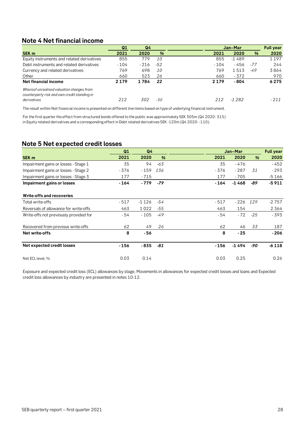## <span id="page-27-0"></span>**Note 4 Net financial income**

|                                                                                                          | Q1      | Q4    |       | Jan-Mar |         |       | <b>Full year</b> |
|----------------------------------------------------------------------------------------------------------|---------|-------|-------|---------|---------|-------|------------------|
| SEK <sub>m</sub>                                                                                         | 2021    | 2020  | $\%$  | 2021    | 2020    | %     | 2020             |
| Equity instruments and related derivatives                                                               | 855     | 779   | 10    | 855     | $-1489$ |       | 1 1 9 7          |
| Debt instruments and related derivatives                                                                 | $-104$  | - 216 | -52   | $-104$  | - 456   | -77   | 244              |
| Currency and related derivatives                                                                         | 769     | 698   | 10    | 769     | 1513    | $-49$ | 3864             |
| Other                                                                                                    | 660     | 523   | 26    | 660     | - 372   |       | 970              |
| Net financial income                                                                                     | 2 1 7 9 | 1784  | 22    | 2 1 7 9 | - 804   |       | 6275             |
| Whereof unrealised valuation changes from<br>counterparty risk and own credit standing in<br>derivatives | 212     | 302   | $-30$ | 212     | $-1282$ |       | $-211$           |

The result within Net financial income is presented on different line items based on type of underlying financial instrument.

For the first quarter the effect from structured bonds offered to the public was approximately SEK 305m (Q4 2020: 315) in Equity related derivatives and a corresponding effect in Debt related derivatives SEK -120m (Q4 2020: -110).

## <span id="page-27-1"></span>**Note 5 Net expected credit losses**

|                                        | Q1     | Q <sub>4</sub> |               | Jan-Mar |         | <b>Full year</b> |         |
|----------------------------------------|--------|----------------|---------------|---------|---------|------------------|---------|
| SEK <sub>m</sub>                       | 2021   | 2020           | $\frac{9}{6}$ | 2021    | 2020    | $\frac{9}{6}$    | 2020    |
| Impairment gains or losses - Stage 1   | 35     | 94             | -63           | 35      | - 476   |                  | $-452$  |
| Impairment gains or losses - Stage 2   | - 376  | $-159$         | 136           | - 376   | $-287$  | 31               | $-293$  |
| Impairment gains or losses - Stage 3   | 177    | $-715$         |               | 177     | $-705$  |                  | $-5166$ |
| Impairment gains or losses             | - 164  | - 779          | $-79$         | - 164   | $-1468$ | -89              | $-5911$ |
| <b>Write-offs and recoveries</b>       |        |                |               |         |         |                  |         |
| Total write-offs                       | $-517$ | $-1126$        | -54           | $-517$  | $-226$  | 129              | $-2757$ |
| Reversals of allowance for write-offs  | 463    | 1022           | $-55$         | 463     | 154     |                  | 2364    |
| Write-offs not previously provided for | - 54   | $-105$         | $-49$         | - 54    | $-72$   | $-25$            | - 393   |
| Recovered from previous write-offs     | 62     | 49             | 26            | 62      | 46      | 33               | 187     |
| Net write-offs                         | 8      | - 56           |               | 8       | $-25$   |                  | - 206   |
| Net expected credit losses             | - 156  | $-835$         | -81           | $-156$  | -1494   | -90              | $-6118$ |
| Net ECL level, %                       | 0.03   | 0.14           |               | 0.03    | 0.25    |                  | 0.26    |

Exposure and expected credit loss (ECL) allowances by stage, Movements in allowances for expected credit losses and loans and Expected credit loss allowances by industry are presented in notes 10-12.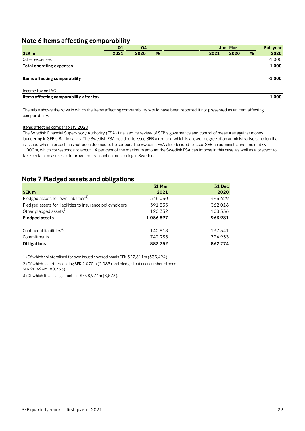## <span id="page-28-0"></span>**Note 6 Items affecting comparability**

|                                         | Q <sub>1</sub> | Q <sub>4</sub> |   |      | Jan-Mar |   | <b>Full year</b> |
|-----------------------------------------|----------------|----------------|---|------|---------|---|------------------|
| SEK <sub>m</sub>                        | 2021           | 2020           | % | 2021 | 2020    | % | 2020             |
| Other expenses                          |                |                |   |      |         |   | $-1000$          |
| <b>Total operating expenses</b>         |                |                |   |      |         |   | $-1000$          |
|                                         |                |                |   |      |         |   |                  |
| Items affecting comparability           |                |                |   |      |         |   | $-1000$          |
| Income tax on IAC                       |                |                |   |      |         |   |                  |
| Items affecting comparability after tax |                |                |   |      |         |   | -1 000           |

The table shows the rows in which the Items affecting comparability would have been reported if not presented as an item affecting comparability.

## Items affecting comparability 2020

The Swedish Financial Supervisory Authority (FSA) finalised its review of SEB's governance and control of measures against money laundering in SEB's Baltic banks. The Swedish FSA decided to issue SEB a remark, which is a lower degree of an administrative sanction that is issued when a breach has not been deemed to be serious. The Swedish FSA also decided to issue SEB an administrative fine of SEK 1,000m, which corresponds to about 14 per cent of the maximum amount the Swedish FSA can impose in this case, as well as a precept to take certain measures to improve the transaction monitoring in Sweden.

## <span id="page-28-1"></span>**Note 7 Pledged assets and obligations**

|                                                           | <b>31 Mar</b> | <b>31 Dec</b> |
|-----------------------------------------------------------|---------------|---------------|
| SEK <sub>m</sub>                                          | 2021          | 2020          |
| Pledged assets for own liabilities <sup>1)</sup>          | 545030        | 493629        |
| Pledged assets for liabilities to insurance policyholders | 391 535       | 362016        |
| Other pledged assets <sup>2)</sup>                        | 120 332       | 108 336       |
| <b>Pledged assets</b>                                     | 1056897       | 963981        |
|                                                           |               |               |
| Contingent liabilities <sup>3)</sup>                      | 140818        | 137341        |
| Commitments                                               | 742935        | 724933        |
| <b>Obligations</b>                                        | 883752        | 862 274       |

1) Of which collateralised for own issued covered bonds SEK 327,611m (333,494).

2) Of which securities lending SEK 2,070m (2,083) and pledged but unencumbered bonds

SEK 90,494m (80,735).

3) Of which financial guarantees SEK 8,974m (8,573).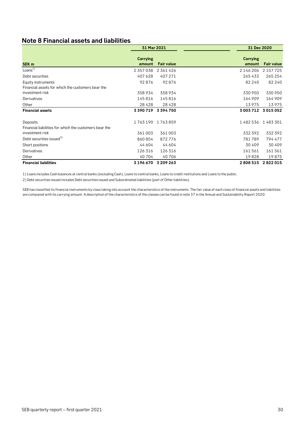## <span id="page-29-0"></span>**Note 8 Financial assets and liabilities**

|                                                                    | 31 Mar 2021        |                     |                    | 31 Dec 2020       |  |  |
|--------------------------------------------------------------------|--------------------|---------------------|--------------------|-------------------|--|--|
| SEK <sub>m</sub>                                                   | Carrying<br>amount | <b>Fair value</b>   | Carrying<br>amount | <b>Fair value</b> |  |  |
| Loans <sup>1</sup>                                                 | 2 357 038          | 2 361 426           | 2 146 206          | 2 157 7 25        |  |  |
| Debt securities                                                    | 407 628            | 407 271             | 265433             | 265 254           |  |  |
| Equity instruments                                                 | 92876              | 92876               | 82 240             | 82 240            |  |  |
| Financial assets for which the customers bear the                  |                    |                     |                    |                   |  |  |
| investment risk                                                    | 358934             | 358934              | 330 950            | 330 950           |  |  |
| Derivatives                                                        | 145816             | 145816              | 164 909            | 164 909           |  |  |
| Other                                                              | 28 4 28            | 28428               | 13975              | 13975             |  |  |
| <b>Financial assets</b>                                            | 3 390 719          | 3394750             | 3 003 712          | 3015052           |  |  |
| Deposits<br>Financial liabilities for which the customers bear the | 1763190            | 1763859             | 1482536            | 1483301           |  |  |
| investment risk                                                    | 361003             | 361003              | 332 392            | 332 392           |  |  |
| Debt securities issued <sup>2)</sup>                               | 860854             | 872776              | 781789             | 794 477           |  |  |
| Short positions                                                    | 44 604             | 44 604              | 30 40 9            | 30 40 9           |  |  |
| Derivatives                                                        | 126 316            | 126316              | 161561             | 161561            |  |  |
| Other                                                              | 40 704             | 40706               | 19828              | 19875             |  |  |
| <b>Financial liabilities</b>                                       |                    | 3 196 670 3 209 263 | 2808515            | 2822015           |  |  |

1) Loans includes Cash balances at central banks (excluding Cash), Loans to central banks, Loans to credit institutions and Loans to the public.

2) Debt securities issued includes Debt securities issued and Subordinated liabilities (part of Other liablitiies).

SEB has classified its financial instruments by class taking into account the characteristics of the instruments. The fair value of each class of financial assets and liabilities are compared with its carrying amount. A description of the characteristics of the classes can be found in note 37 in the Annual and Sustainability Report 2020.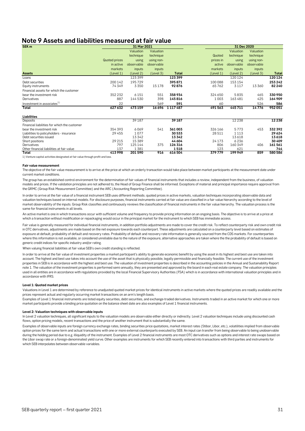## <span id="page-30-0"></span>**Note 9 Assets and liabilities measured at fair value**

| SEK <sub>m</sub>                             |                      | 31 Mar 2021 |            |               |           | 31 Dec 2020 |            |              |  |
|----------------------------------------------|----------------------|-------------|------------|---------------|-----------|-------------|------------|--------------|--|
|                                              |                      | Valuation   | Valuation  |               |           | Valuation   | Valuation  |              |  |
|                                              |                      | technique   | technique  |               | Quoted    | technique   | technique  |              |  |
|                                              | <b>Quoted prices</b> | using       | using non- |               | prices in | using       | using non- |              |  |
|                                              | in active            | observable  | observable |               | active    | observable  | observable |              |  |
|                                              | markets              | inputs      | inputs     |               | markets   | inputs      | inputs     |              |  |
| <b>Assets</b>                                | (Level 1)            | (Level 2)   | (Level 3)  | <b>Total</b>  | (Level 1) | (Level 2)   | (Level 3)  | <b>Total</b> |  |
| Loans                                        |                      | 123 399     |            | 123 399       |           | 120124      |            | 120 124      |  |
| Debt securities                              | 200 142              | 195729      |            | 395871        | 100 088   | 153154      |            | 253 242      |  |
| Equity instruments                           | 74349                | 3350        | 15178      | 92876         | 65762     | 3117        | 13 360     | 82 240       |  |
| Financial assets for which the customer      |                      |             |            |               |           |             |            |              |  |
| bear the investment risk                     | 352 232              | 6151        | 551        | 358934        | 324 650   | 5835        | 465        | 330950       |  |
| Derivatives                                  | 887                  | 144530      | 398        | 145816        | 1003      | 163481      | 425        | 164 909      |  |
| Investment in associates <sup>1)</sup>       | 22                   |             | 569        | 591           | 60        |             | 526        | 586          |  |
| Total                                        | 627 632              | 473159      | 16696      | 1 1 1 7 4 8 7 | 491 563   | 445711      | 14776      | 952051       |  |
| Liabilities                                  |                      |             |            |               |           |             |            |              |  |
| Deposits                                     |                      | 39187       |            | 39187         |           | 12 2 38     |            | 12 2 38      |  |
| Financial liabilities for which the customer |                      |             |            |               |           |             |            |              |  |
| bear the investment risk                     | 354 393              | 6069        | 541        | 361003        | 326 166   | 5773        | 453        | 332392       |  |
| Liabilities to policyholders - insurance     | 29 455               | 1077        |            | 30533         | 28 511    | 1113        |            | 29 624       |  |
| Debt securities issued                       |                      | 13342       |            | 13342         |           | 13618       |            | 13618        |  |
| Short positions                              | 29 215               | 15389       |            | 44 604        | 24 173    | 6236        |            | 30 409       |  |
| Derivatives                                  | 797                  | 125144      | 375        | 126 316       | 806       | 160 349     | 406        | 161 561      |  |
| Other financial liabilities at fair value    | 137                  | 1381        |            | 1518          | 123       | 621         |            | 744          |  |
| <b>Total</b>                                 | 413998               | 201590      | 916        | 616504        | 379779    | 199949      | 859        | 580 586      |  |

1) Venture capital activities designated at fair value through profit and loss.

### **Fair value measurement**

The objective of the fair value measurement is to arrive at the price at which an orderly transaction would take place between market participants at the measurement date under current market conditions.

The group has an established control environment for the determination of fair values of financial instruments that includes a review, independent from the business, of valuation models and prices. If the validation principles are not adhered to, the Head of Group Finance shall be informed. Exceptions of material and principal importance require approval from the GRMC (Group Risk Measurement Committee) and the ARC (Accounting Reporting Committee).

In order to arrive at the fair value of a financial instrument SEB uses different methods; quoted prices in active markets, valuation techniques incorporating observable data and valuation techniques based on internal models. For disclosure purposes, financial instruments carried at fair value are classified in a fair value hierarchy according to the level of market observability of the inputs. Group Risk classifies and continuously reviews the classification of financial instruments in the fair value hierarchy. The valuation process is the same for financial instruments in all levels.

An active market is one in which transactions occur with sufficient volume and frequency to provide pricing information on an ongoing basis. The objective is to arrive at a price at which a transaction without modification or repackaging would occur in the principal market for the instrument to which SEB has immediate access.

Fair value is generally measured for individual financial instruments, in addition portfolio adjustments are made to cover the credit risk. To reflect counterparty risk and own credit risk in OTC derivatives, adjustments are made based on the net exposure towards each counterpart. These adjustments are calculated on a counterparty level based on estimates of exposure at default, probability of default and recovery rates. Probability of default and recovery rate information is generally sourced from the CDS markets. For counterparties where this information is not available, or considered unreliable due to the nature of the exposure, alternative approaches are taken where the the probability of default is based on generic credit indices for specific industry and/or rating.

When valuing financial liabilities at fair value SEB's own credit standing is reflected.

In order to arrive at the fair value of investment properties a market participant's ability to generate economic benefit by using the asset in its highest and best use are taken into account. The highest and best use takes into account the use of the asset that is physically possible, legally permissible and financially feasible. The current use of the investment properties in SEB is in accordance with the highest and best use. The valuation of investment properties is described in the accounting policies in the Annual and Sustainability Report note 1. The valuation of the investment properties is performed semi-annually, they are presented and approved by the board in each real estate company. The valuation principles used in all entities are in accordance with regulations provided by the local Financial Supervisory Authorities (FSA) which is in accordance with international valuation principles and in accordance with IFRS.

### **Level 1: Quoted market prices**

Valuations in Level 1 are determined by reference to unadjusted quoted market prices for identical instruments in active markets where the quoted prices are readily available and the prices represent actual and regularly occurring market transactions on an arm's length basis.

Examples of Level 1 financial instruments are listed equity securities, debt securities, and exchange-traded derivatives. Instruments traded in an active market for which one or more market participants provide a binding price quotation on the balance sheet date are also examples of Level 1 financial instruments.

### **Level 2: Valuation techniques with observable inputs**

In Level 2 valuation techniques, all significant inputs to the valuation models are observable either directly or indirectly. Level 2 valuation techniques include using discounted cash flows, option pricing models, recent transactions and the price of another instrument that is substantially the same.

Examples of observable inputs are foreign currency exchange rates, binding securities price quotations, market interest rates (Stibor, Libor, etc.), volatilities implied from observable option prices for the same term and actual transactions with one or more external counterparts executed by SEB. An input can transfer from being observable to being unobservable during the holding period due to e.g. illiquidity of the instrument. Examples of Level 2 financial instruments are most OTC derivatives such as options and interest rate swaps based on the Libor swap rate or a foreign-denominated yield curve. Other examples are instruments for which SEB recently entered into transactions with third parties and instruments for which SEB interpolates between observable variables.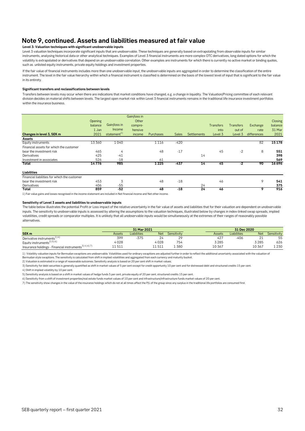## **Note 9, continued. Assets and liabilities measured at fair value**

### **Level 3: Valuation techniques with significant unobservable inputs**

Level 3 valuation techniques incorporate significant inputs that are unobservable. These techniques are generally based on extrapolating from observable inputs for similar instruments, analysing historical data or other analytical techniques. Examples of Level 3 financial instruments are more complex OTC derivatives, long dated options for which the volatility is extrapolated or derivatives that depend on an unobservable correlation. Other examples are instruments for which there is currently no active market or binding quotes, such as unlisted equity instruments, private equity holdings and investment properties.

If the fair value of financial instruments includes more than one unobservable input, the unobservable inputs are aggregated in order to determine the classification of the entire instrument. The level in the fair value hierarchy within which a financial instrument is classified is determined on the basis of the lowest level of input that is significant to the fair value in its entirety.

### **Significant transfers and reclassifications between levels**

Transfers between levels may occur when there are indications that market conditions have changed, e.g. a change in liquidity. The Valuation/Pricing committee of each relevant division decides on material shifts between levels. The largest open market risk within Level 3 financial instruments remains in the traditional life insurance investment portfolios within the insurance business.

|                                                                                                                           |                |                         | Gain/loss in |                  |              |                 |                  |                  |             |         |
|---------------------------------------------------------------------------------------------------------------------------|----------------|-------------------------|--------------|------------------|--------------|-----------------|------------------|------------------|-------------|---------|
|                                                                                                                           | <b>Opening</b> |                         | Other        |                  |              |                 |                  |                  |             | Closing |
|                                                                                                                           | balance        | Gain/loss in            | compre-      |                  |              |                 | <b>Transfers</b> | <b>Transfers</b> | Exchange    | balance |
|                                                                                                                           | 1 Jan          | Income                  | hensive      |                  |              |                 | into             | out of           | rate        | 31 Mar  |
| Changes in level 3, SEK m                                                                                                 | 2021           | statement <sup>1)</sup> | income       | <b>Purchases</b> | <b>Sales</b> | Settlements     | Level 3          | Level 3          | differences | 2021    |
| Assets                                                                                                                    |                |                         |              |                  |              |                 |                  |                  |             |         |
| Equity instruments                                                                                                        | 13 360         | 1040                    |              | 1116             | $-420$       |                 |                  |                  | 82          | 15178   |
| Financial assets for which the customer                                                                                   |                |                         |              |                  |              |                 |                  |                  |             |         |
| bear the investment risk                                                                                                  | 465            | 4                       |              | 48               | $-17$        |                 | 45               | $-2$             | 8           | 551     |
| Derivatives                                                                                                               | 425            | $-41$                   |              |                  |              | 14              |                  |                  |             | 398     |
| Investment in associates                                                                                                  | 526            | $-18$                   |              | 61               |              |                 |                  |                  |             | 569     |
| Total                                                                                                                     | 14776          | 985                     |              | 1225             | $-437$       | 14              | 45               | $-2$             | 90          | 16696   |
| Liabilities                                                                                                               |                |                         |              |                  |              |                 |                  |                  |             |         |
| Financial liabilities for which the customer                                                                              |                |                         |              |                  |              |                 |                  |                  |             |         |
| bear the investment risk                                                                                                  | 453            | 3                       |              | 48               | $-18$        |                 | 46               |                  | 9           | 541     |
| Derivatives                                                                                                               | 406            | $-55$                   |              |                  |              | 24              |                  |                  |             | 375     |
| Total                                                                                                                     | 859            | $-52$                   |              | 48               | $-18$        | $\overline{24}$ | 46               |                  | 9           | 916     |
| 4. Fais unit a gains and langer sensemined in the innouncement and mail uded in Net financial income and Net ethns income |                |                         |              |                  |              |                 |                  |                  |             |         |

ome and Net other inc

### **Sensitivity of Level 3 assets and liabilities to unobservable inputs**

The table below illustrates the potential Profit or Loss impact of the relative uncertainty in the fair value of assets and liabilities that for their valuation are dependent on unobservable inputs. The sensitivity to unobservable inputs is assessed by altering the assumptions to the valuation techniques, illustrated below by changes in index-linked swap spreads, implied volatilities, credit spreads or comparator multiples. It is unlikely that all unobservable inputs would be simultaneously at the extremes of their ranges of reasonably possible alternatives.

|                                                                |        | 31 Mar 2021        |        |             | 31 Dec 2020 |             |             |             |
|----------------------------------------------------------------|--------|--------------------|--------|-------------|-------------|-------------|-------------|-------------|
| SEK <sub>m</sub>                                               | Assets | <b>Liabilities</b> | Net    | Sensitivity | Assets      | Liabilities | <b>Net</b>  | Sensitivity |
| Derivative instruments <sup>1)4)</sup>                         | 399    | $-375$             | 24     | 29          | 427         | $-406$      | $\sim$<br>ᅩ | 55          |
| Equity instruments <sup>2) 5) 6)</sup>                         | 4028   |                    | 4028   | 754         | 3285        |             | 3 2 8 5     | 626         |
| Insurance holdings - Financial instruments <sup>3)4)6)7)</sup> | 11511  |                    | 11 511 | .380        | 10367       |             | 10 367      | 1 2 3 0     |

1) Volatility valuation inputs for Bermudan swaptions are unobservable. Volatilities used for ordinary swaptions are adjusted further in order to reflect the additional uncertainty associated with the valuation of

Bermudan style swaptions. The sensitivity is calculated from shift in implied volatilities and aggregated from each currency and maturity bucket.

2) Valuation is estimated in a range of reasonable outcomes. Sensitivity analysis is based on 20 per cent shift in market values.

3) Sensitivity for debt securities is generally quantified as shift in market values of 5 per cent except for credit opportunity 10 per cent and for distressed debt and structured credits 15 per cent.

4) Shift in implied volatility by 10 per cent.

5) Sensitivity analysis is based on a shift in market values of hedge funds 5 per cent, private equity of 20 per cent, structured credits 15 per cent.

6) Sensitivity from a shift of investment properties/real estate funds market values of 10 per cent and infrastructure/infrastructure funds market values of 20 per cent.

7) The sensitivity show changes in the value of the insurance holdings which do not at all times affect the P/L of the group since any surplus in the traditional life portfolios are consumed first.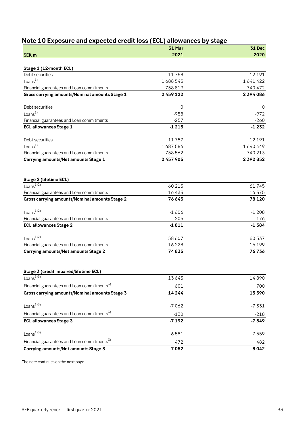## <span id="page-32-0"></span>**Note 10 Exposure and expected credit loss (ECL) allowances by stage**

| SEK <sub>m</sub>                                        | <b>31 Mar</b><br>2021 | <b>31 Dec</b><br>2020 |
|---------------------------------------------------------|-----------------------|-----------------------|
|                                                         |                       |                       |
| Stage 1 (12-month ECL)                                  |                       |                       |
| Debt securities                                         | 11758                 | 12 19 1               |
| Loans $1)$                                              | 1688545               | 1641422               |
| Financial guarantees and Loan commitments               | 758 819               | 740 472               |
| Gross carrying amounts/Nominal amounts Stage 1          | 2459122               | 2394086               |
| Debt securities                                         | 0                     | 0                     |
| Loans <sup>1</sup>                                      | $-958$                | $-972$                |
| Financial guarantees and Loan commitments               | $-257$                | $-260$                |
| <b>ECL allowances Stage 1</b>                           | $-1215$               | $-1232$               |
| Debt securities                                         | 11757                 | 12 191                |
| Loans $1)$                                              | 1687586               | 1640449               |
| Financial guarantees and Loan commitments               | 758 562               | 740 213               |
| Carrying amounts/Net amounts Stage 1                    | 2457905               | 2392852               |
| Stage 2 (lifetime ECL)                                  |                       |                       |
| Loans $^{1/2)}$                                         | 60 213                | 61745                 |
| Financial guarantees and Loan commitments               | 16433                 | 16375                 |
| <b>Gross carrying amounts/Nominal amounts Stage 2</b>   | 76 645                | 78 1 20               |
| Loans <sup>1/2</sup>                                    | $-1606$               | $-1208$               |
| Financial guarantees and Loan commitments               | $-205$                | -176                  |
| <b>ECL allowances Stage 2</b>                           | $-1811$               | $-1384$               |
| Loans <sup><math>1)2)</math></sup>                      | 58 607                | 60 537                |
| Financial guarantees and Loan commitments               | 16 2 28               | 16 199                |
| Carrying amounts/Net amounts Stage 2                    | 74835                 | 76736                 |
| Stage 3 (credit impaired/lifetime ECL)                  |                       |                       |
| Loans <sup>1)5)</sup>                                   | 13643                 | 14890                 |
| Financial guarantees and Loan commitments <sup>3)</sup> | 601                   | 700                   |
| Gross carrying amounts/Nominal amounts Stage 3          | 14244                 | 15590                 |
| Loans $^{1/3)}$                                         | $-7062$               | $-7331$               |
| Financial guarantees and Loan commitments <sup>3)</sup> | $-130$                | $-218$                |
| <b>ECL allowances Stage 3</b>                           | $-7192$               | $-7549$               |
| Loans <sup>13)</sup>                                    | 6581                  | 7559                  |
| Financial guarantees and Loan commitments <sup>5)</sup> | 472                   | 482                   |
| Carrying amounts/Net amounts Stage 3                    | 7052                  | 8042                  |

The note continues on the next page.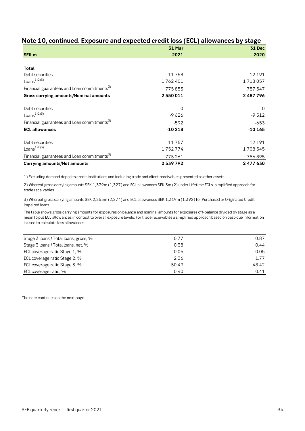|                                                         | 31 Mar   | <b>31 Dec</b> |
|---------------------------------------------------------|----------|---------------|
| SEK <sub>m</sub>                                        | 2021     | 2020          |
|                                                         |          |               |
| Total                                                   |          |               |
| Debt securities                                         | 11758    | 12 191        |
| Loans $^{1/2}$ <sup>3)</sup>                            | 1762401  | 1718057       |
| Financial guarantees and Loan commitments <sup>3)</sup> | 775853   | 757 547       |
| <b>Gross carrying amounts/Nominal amounts</b>           | 2550011  | 2487796       |
| Debt securities                                         | 0        | 0             |
| Loans $^{1/2}$ <sup>3)</sup>                            | $-9626$  | $-9512$       |
| Financial guarantees and Loan commitments <sup>3)</sup> | $-592$   | $-653$        |
| <b>ECL allowances</b>                                   | $-10218$ | $-10165$      |
| Debt securities                                         | 11757    | 12 191        |
| Loans $^{1/2}$ <sup>3)</sup>                            | 1752774  | 1708545       |
| Financial guarantees and Loan commitments <sup>3)</sup> | 775 261  | 756895        |
| <b>Carrying amounts/Net amounts</b>                     | 2539792  | 2477630       |

## **Note 10, continued. Exposure and expected credit loss (ECL) allowances by stage**

1) Excluding demand deposits credit institutions and including trade and client receivables presented as other assets.

2) Whereof gross carrying amounts SEK 1,379m (1,327) and ECL allowances SEK 3m (2) under Lifetime ECLs -simplified approach for trade receivables.

3) Whereof gross carrying amounts SEK 2,255m (2,274) and ECL allowances SEK 1,319m (1,392) for Purchased or Originated Credit Impaired loans.

The table shows gross carrying amounts for exposures on balance and nominal amounts for exposures off-balance divided by stage as a mean to put ECL allowances in context to overall exposure levels. For trade receivables a simplified approach based on past-due information is used to calculate loss allowances.

| Stage 3 loans / Total loans, gross, % | 0.77  | 0.87  |
|---------------------------------------|-------|-------|
| Stage 3 loans / Total loans, net, %   | 0.38  | 0.44  |
| ECL coverage ratio Stage 1, %         | 0.05  | 0.05  |
| ECL coverage ratio Stage 2, %         | 2.36  | 1.77  |
| ECL coverage ratio Stage 3, %         | 50.49 | 48.42 |
| ECL coverage ratio, %                 | 0.40  | 0.41  |

The note continues on the next page.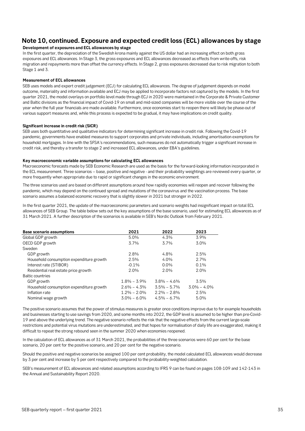## **Note 10, continued. Exposure and expected credit loss (ECL) allowances by stage**

## **Development of exposures and ECL allowances by stage**

In the first quarter, the depreciation of the Swedish krona mainly against the US dollar had an increasing effect on both gross exposures and ECL allowances. In Stage 3, the gross exposures and ECL allowances decreased as effects from write-offs, risk migration and repayments more than offset the currency effects. In Stage 2, gross exposures decreased due to risk migration to both Stage 1 and 3.

## **Measurement of ECL allowances**

SEB uses models and expert credit judgement (ECJ) for calculating ECL allowances. The degree of judgement depends on model outcome, materiality and information available and ECJ may be applied to incorporate factors not captured by the models. In the first quarter 2021, the model overlays on portfolio level made through ECJ in 2020 were maintained in the Corporate & Private Customer and Baltic divisions as the financial impact of Covid-19 on small and mid-sized companies will be more visible over the course of the year when the full year financials are made available. Furthermore, once economies start to reopen there will likely be phase-out of various support measures and, while this process is expected to be gradual, it may have implications on credit quality.

### **Significant increase in credit risk (SICR)**

SEB uses both quantitative and qualitative indicators for determining significant increase in credit risk. Following the Covid-19 pandemic, governments have enabled measures to support corporates and private individuals, including amortisation exemptions for household mortgages. In line with the SFSA's recommendations, such measures do not automatically trigger a significant increase in credit risk, and thereby a transfer to stage 2 and increased ECL allowances, under EBA's guidelines.

### **Key macroeconomic variable assumptions for calculating ECL allowances**

Macroeconomic forecasts made by SEB Economic Research are used as the basis for the forward-looking information incorporated in the ECL measurement. Three scenarios – base, positive and negative - and their probability weightings are reviewed every quarter, or more frequently when appropriate due to rapid or significant changes in the economic environment.

The three scenarios used are based on different assumptions around how rapidly economies will reopen and recover following the pandemic, which may depend on the continued spread and mutations of the coronavirus and the vaccination process. The base scenario assumes a balanced economic recovery that is slightly slower in 2021 but stronger in 2022.

In the first quarter 2021, the update of the macroeconomic parameters and scenario weights had insignificant impact on total ECL allowances of SEB Group. The table below sets out the key assumptions of the base scenario, used for estimating ECL allowances as of 31 March 2021. A further description of the scenarios is available in SEB's Nordic Outlook from February 2021.

| <b>Base scenario assumptions</b>         | 2021            | 2022            | 2023            |
|------------------------------------------|-----------------|-----------------|-----------------|
| Global GDP growth                        | 5.0%            | 4.3%            | 3.9%            |
| OECD GDP growth                          | 3.7%            | 3.7%            | 3.0%            |
| Sweden                                   |                 |                 |                 |
| GDP growth                               | 2.8%            | 4.8%            | 2.5%            |
| Household consumption expenditure growth | 2.5%            | $4.0\%$         | 2.7%            |
| Interest rate (STIBOR)                   | $-0.1%$         | $0.0\%$         | $0.1\%$         |
| Residential real estate price growth     | 2.0%            | 2.0%            | $2.0\%$         |
| <b>Baltic countries</b>                  |                 |                 |                 |
| GDP growth                               | $1.8\% - 3.9\%$ | $3.8\% - 4.6\%$ | 3.5%            |
| Household consumption expenditure growth | $2.6\% - 4.3\%$ | $3.5\% - 5.7\%$ | $3.0\% - 4.0\%$ |
| Inflation rate                           | $1.2\% - 2.0\%$ | $2.2\% - 2.8\%$ | 2.5%            |
| Nominal wage growth                      | $3.0\% - 6.0\%$ | $4.5\% - 6.7\%$ | 5.0%            |

The positive scenario assumes that the power of stimulus measures is greater once conditions improve due to for example households and businesses starting to use savings from 2020, and some months into 2022, the GDP level is assumed to be higher than pre-Covid-19 and above the underlying trend. The negative scenario reflects the risk that the negative effects from the current large-scale restrictions and potential virus mutations are underestimated, and that hopes for normalisation of daily life are exaggerated, making it difficult to repeat the strong rebound seen in the summer 2020 when economies reopened.

In the calculation of ECL allowances as of 31 March 2021, the probabilities of the three scenarios were 60 per cent for the base scenario, 20 per cent for the positive scenario, and 20 per cent for the negative scenario.

Should the positive and negative scenarios be assigned 100 per cent probability, the model calculated ECL allowances would decrease by 3 per cent and increase by 5 per cent respectively compared to the probability-weighted calculation.

SEB's measurement of ECL allowances and related assumptions according to IFRS 9 can be found on pages 108-109 and 142-143 in the Annual and Sustainability Report 2020.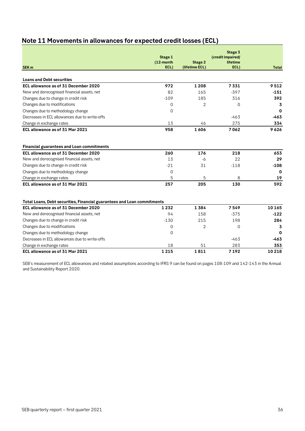<span id="page-35-0"></span>

| Note 11 Movements in allowances for expected credit losses (ECL) |  |  |
|------------------------------------------------------------------|--|--|
|------------------------------------------------------------------|--|--|

|                                                                         | Stage 1           |                                  | Stage 3<br>(credit impaired/ |              |
|-------------------------------------------------------------------------|-------------------|----------------------------------|------------------------------|--------------|
| <b>SEK m</b>                                                            | (12-month<br>ECL) | <b>Stage 2</b><br>(lifetime ECL) | lifetime<br>ECL)             | <b>Total</b> |
|                                                                         |                   |                                  |                              |              |
| <b>Loans and Debt securities</b>                                        |                   |                                  |                              |              |
| ECL allowance as of 31 December 2020                                    | 972               | 1 2 0 8                          | 7331                         | 9512         |
| New and derecognised financial assets, net                              | 82                | 165                              | $-397$                       | $-151$       |
| Changes due to change in credit risk                                    | $-109$            | 185                              | 316                          | 392          |
| Changes due to modifications                                            | $\Omega$          | $\overline{2}$                   | $\Omega$                     | 3            |
| Changes due to methodology change                                       | 0                 |                                  |                              | $\mathbf 0$  |
| Decreases in ECL allowances due to write-offs                           |                   |                                  | $-463$                       | $-463$       |
| Change in exchange rates                                                | 13                | 46                               | 275                          | 334          |
| ECL allowance as of 31 Mar 2021                                         | 958               | 1606                             | 7062                         | 9626         |
| <b>Financial guarantees and Loan commitments</b>                        |                   |                                  |                              |              |
| ECL allowance as of 31 December 2020                                    | 260               | 176                              | 218                          | 653          |
| New and derecognised financial assets, net                              | 13                | -6                               | 22                           | 29           |
| Changes due to change in credit risk                                    | $-21$             | 31                               | $-118$                       | $-108$       |
| Changes due to methodology change                                       | $\Omega$          |                                  |                              | $\bf{0}$     |
| Change in exchange rates                                                | 5                 | 5                                | 8                            | 19           |
| ECL allowance as of 31 Mar 2021                                         | 257               | 205                              | 130                          | 592          |
| Total Loans, Debt securities, Financial guarantees and Loan commitments |                   |                                  |                              |              |
| ECL allowance as of 31 December 2020                                    | 1232              | 1384                             | 7549                         | 10165        |
| New and derecognised financial assets, net                              | 94                | 158                              | $-375$                       | $-122$       |
| Changes due to change in credit risk                                    | $-130$            | 215                              | 198                          | 284          |
| Changes due to modifications                                            | 0                 | $\overline{2}$                   | $\mathbf 0$                  | 3            |
| Changes due to methodology change                                       | $\Omega$          |                                  |                              | 0            |
| Decreases in ECL allowances due to write-offs                           |                   |                                  | $-463$                       | -463         |
| Change in exchange rates                                                | 18                | 51                               | 283                          | 353          |
| ECL allowance as of 31 Mar 2021                                         | 1215              | 1811                             | 7192                         | 10 218       |

SEB's measurement of ECL allowances and related assumptions according to IFRS 9 can be found on pages 108-109 and 142-143 in the Annual and Sustainability Report 2020.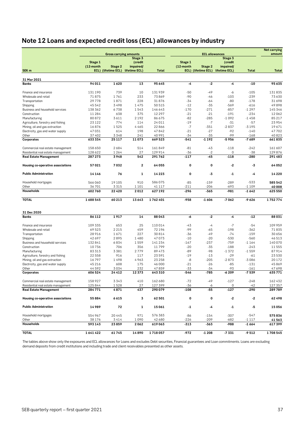# <span id="page-36-0"></span>**Note 12 Loans and expected credit loss (ECL) allowances by industry**

|                                                                         |                 |                               |                                   |                   |                 |                       |                                   |              | <b>Net carrying</b> |
|-------------------------------------------------------------------------|-----------------|-------------------------------|-----------------------------------|-------------------|-----------------|-----------------------|-----------------------------------|--------------|---------------------|
|                                                                         |                 | <b>Gross carrying amounts</b> |                                   |                   |                 | <b>ECL allowances</b> |                                   |              | amount              |
|                                                                         | Stage 1         |                               | Stage 3                           |                   | Stage 1         |                       | Stage 3<br>(credit                |              |                     |
|                                                                         | (12-month       | Stage 2                       | (credit<br>impaired/              |                   | (12-month       | Stage 2               | impaired/                         |              |                     |
| SEK <sub>m</sub>                                                        |                 |                               | ECL) (lifetime ECL) lifetime ECL) | Total             |                 |                       | ECL) (lifetime ECL) lifetime ECL) | <b>Total</b> | <b>Total</b>        |
|                                                                         |                 |                               |                                   |                   |                 |                       |                                   |              |                     |
| 31 Mar 2021                                                             |                 |                               |                                   |                   |                 |                       |                                   |              |                     |
| <b>Banks</b>                                                            | 94 011          | 1620                          | 13                                | 95645             | -4              | $-2$                  | -4                                | $-10$        | 95635               |
| Finance and insurance                                                   | 131 190         | 739                           | 10                                | 131939            | $-50$           | $-49$                 | -6                                | $-105$       | 131835              |
| Wholesale and retail                                                    | 71875           | 1761                          | 233                               | 73869             | $-90$           | -46                   | $-103$                            | -239         | 73630               |
| Transportation                                                          | 29778           | 1871                          | 228                               | 31876             | $-34$           | $-64$                 | $-80$                             | $-178$       | 31 698              |
| Shipping                                                                | 45542           | 3498                          | 1475                              | 50515             | $-12$           | $-35$                 | $-569$                            | $-616$       | 49898               |
| Business and household services                                         | 138 362         | 6738                          | 1543                              | 146 643           | $-170$          | $-271$                | $-857$                            | $-1297$      | 145 346             |
| Construction                                                            | 11 284          | 638                           | 375                               | 12 2 9 7          | $-21$           | $-21$                 | $-191$                            | $-234$       | 12062               |
| Manufacturing                                                           | 80872           | 3611                          | 2192                              | 86675             | $-82$           | $-285$                | $-1092$                           | $-1458$      | 85 217              |
| Agriculture, forestry and fishing                                       | 23 1 22         | 774                           | 114                               | 24 011            | $-19$           | $-7$                  | $-31$                             | $-57$        | 23954               |
| Mining, oil and gas extraction                                          | 16876           | 1525                          | 4465                              | 22866             | $-7$            | -351                  | $-2837$                           | $-3195$      | 19671               |
| Electricity, gas and water supply                                       | 47031           | 614                           | 198                               | 47842             | $-21$           | $-27$                 | $-92$                             | $-140$       | 47702               |
| Other                                                                   | 37 402          | 3348                          | 241                               | 40 991            | -34             | -35                   | -99                               | $-168$       | 40823               |
| Corporates                                                              | 633 334         | 25117                         | 11073                             | 669 523           | -541            | -1 192                | -5956                             | -7689        | 661835              |
|                                                                         |                 |                               |                                   |                   |                 |                       |                                   |              |                     |
| Commercial real estate management                                       | 158 650         | 2684                          | 514                               | 161849            | $-81$           | -43                   | $-118$                            | $-242$       | 161 607             |
| Residential real estate management                                      | 128 622         | 1264                          | 27                                | 129 914           | $-36$           | $-2$                  | 0                                 | $-38$        | 129 876             |
| <b>Real Estate Management</b>                                           | 287 273         | 3948                          | 542                               | 291762            | $-117$          | $-45$                 | $-118$                            | $-280$       | 291 483             |
| Housing co-operative associations                                       | 57021           | 7032                          | $\mathbf{2}$                      | 64055             | 0               | 0                     | $-2$                              | -3           | 64052               |
| <b>Public Administration</b>                                            | 14 1 4 6        | 76                            | 1                                 | 14223             | 0               | -3                    | -1                                | -4           | 14220               |
|                                                                         | 566060          | 19105                         | 910                               | 586075            | $-85$           | $-159$                | $-289$                            | $-533$       | 585 542             |
| Household mortgages<br>Other                                            |                 | 3315                          | 1 1 0 1                           | 41 1 1 7          | $-211$          | $-206$                | $-693$                            | $-1109$      |                     |
| <b>Households</b>                                                       | 36701<br>602760 | 22420                         | 2012                              | 627 192           | -296            | $-365$                | $-981$                            | $-1642$      | 40 008<br>625 550   |
|                                                                         |                 |                               |                                   |                   |                 |                       |                                   |              |                     |
| <b>TOTAL</b>                                                            | 1688545         | 60213                         | 13643                             | 1762401           | -958            | $-1606$               | $-7062$                           | $-9626$      | 1752774             |
| 31 Dec 2020                                                             |                 |                               |                                   |                   |                 |                       |                                   |              |                     |
| <b>Banks</b>                                                            | 86 112          | 1917                          | 14                                | 88043             | -6              | $-2$                  | -4                                | $-12$        | 88031               |
| Finance and insurance                                                   | 109 335         | 653                           | 25                                | 110014            | -43             | $-4$                  | $-7$                              | $-54$        | 109 959             |
| Wholesale and retail                                                    | 69 523          | 2215                          | 459                               | 72 196            | $-99$           | -65                   | $-198$                            | -362         | 71835               |
| Transportation                                                          | 28 9 16         | 1671                          | 227                               | 30814             | $-36$           | $-49$                 | $-74$                             | $-159$       | 30 656              |
| Shipping                                                                | 42 697          | 2895                          | 1480                              | 47073             | $-10$           | $-20$                 | $-530$                            | $-560$       | 46513               |
| Business and household services                                         | 132 841         | 6834                          | 1559                              | 141 234           | $-167$          | $-237$                | $-759$                            | $-1164$      | 140 070             |
| Construction                                                            | 10736           | 706                           | 356                               | 11799             | $-20$           | $-35$                 | $-188$                            | $-243$       | 11555               |
| Manufacturing                                                           | 83 313          | 3381                          | 2779                              | 89473             | -89             | -98                   | $-1372$                           | $-1559$      | 87914               |
| Agriculture, forestry and fishing                                       | 22 5 5 8        | 916                           | 117                               | 23591             | $-19$           | $-13$                 | $-29$                             | $-61$        | 23530               |
| Mining, oil and gas extraction                                          | 16797           | 1498                          | 4963                              | 23 25 8           | $-8$            | $-205$                | $-2873$                           | $-3086$      | 20172               |
| Electricity, gas and water supply                                       | 45 216          | 608                           | 175                               | 46 000            | $-21$           | $-26$                 | $-85$                             | $-131$       | 45869               |
|                                                                         | 44592           | 3034                          | 232                               | 47859             | $-33$           | -34                   | $-93$                             | $-161$       | 47 698              |
| Other<br>Corporates                                                     | 606 524         | 24 412                        | 12373                             | 643 310           | $-546$          | -785                  | $-6209$                           | $-7539$      | 635771              |
|                                                                         |                 |                               |                                   |                   |                 |                       |                                   |              |                     |
| Commercial real estate management<br>Residential real estate management | 158 927         | 3343                          | 410                               | 162 680           | $-72$           | $-49$                 | $-127$                            | $-248$       | 162 432             |
|                                                                         | 125844          | 1528<br>4871                  | 27<br>437                         | 127 399<br>290079 | $-36$<br>$-108$ | -6<br>$-55$           | 0<br>$-127$                       | -42<br>-290  | 127 357<br>289789   |
| <b>Real Estate Management</b>                                           | 284771          |                               |                                   |                   |                 |                       |                                   |              |                     |
| Housing co-operative associations                                       | 55884           | 6615                          | 3                                 | 62 501            | 0               | 0                     | $-2$                              | $-2$         | 62498               |
| <b>Public Administration</b>                                            | 14989           | 72                            | 1                                 | 15061             | $-1$            | -4                    | $-1$                              | -5           | 15056               |
| Household mortgages                                                     | 554 967         | 20445                         | 971                               | 576383            | -86             | $-154$                | $-307$                            | $-547$       | 575836              |
| Other                                                                   | 38 1 7 6        | 3414                          | 1090                              | 42 680            | $-226$          | -209                  | $-682$                            | $-1117$      | 41563               |
| Households                                                              | 593143          | 23859                         | 2062                              | 619063            | -313            | -363                  | -988                              | $-1664$      | 617399              |
| <b>TOTAL</b>                                                            | 1641422         | 61745                         | 14890                             | 1718057           | -972            | $-1208$               | $-7331$                           | $-9512$      | 1708545             |

The tables above show only the exposures and ECL allowances for Loans and excludes Debt securities, Financial guarantees and Loan commitments. Loans are excluding demand deposits from credit institutions and including trade and client receivables presented as other assets.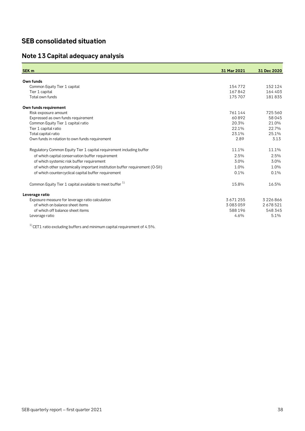## **SEB consolidated situation**

## <span id="page-37-0"></span>**Note 13 Capital adequacy analysis**

| SEK <sub>m</sub>                                                             | 31 Mar 2021 | 31 Dec 2020 |
|------------------------------------------------------------------------------|-------------|-------------|
|                                                                              |             |             |
| Own funds                                                                    |             |             |
| Common Equity Tier 1 capital                                                 | 154772      | 152 124     |
| Tier 1 capital                                                               | 167842      | 164 403     |
| Total own funds                                                              | 175 707     | 181835      |
| Own funds requirement                                                        |             |             |
| Risk exposure amount                                                         | 761 144     | 725 560     |
| Expressed as own funds requirement                                           | 60892       | 58 045      |
| Common Equity Tier 1 capital ratio                                           | 20.3%       | 21.0%       |
| Tier 1 capital ratio                                                         | 22.1%       | 22.7%       |
| Total capital ratio                                                          | 23.1%       | 25.1%       |
| Own funds in relation to own funds requirement                               | 2.89        | 3.13        |
| Regulatory Common Equity Tier 1 capital requirement including buffer         | 11.1%       | 11.1%       |
| of which capital conservation buffer requirement                             | 2.5%        | 2.5%        |
| of which systemic risk buffer requirement                                    | 3.0%        | 3.0%        |
| of which other systemically important institution buffer requirement (O-SII) | 1.0%        | 1.0%        |
| of which countercyclical capital buffer requirement                          | 0.1%        | 0.1%        |
| Common Equity Tier 1 capital available to meet buffer <sup>1)</sup>          | 15.8%       | 16.5%       |
| Leverage ratio                                                               |             |             |
| Exposure measure for leverage ratio calculation                              | 3671255     | 3226866     |
| of which on balance sheet items                                              | 3083059     | 2678521     |
| of which off balance sheet items                                             | 588 196     | 548 345     |
| Leverage ratio                                                               | 4.6%        | 5.1%        |
|                                                                              |             |             |

 $1)$  CET1 ratio excluding buffers and minimum capital requirement of 4.5%.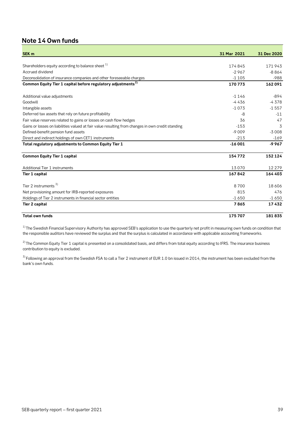## <span id="page-38-0"></span>**Note 14 Own funds**

| <b>SEK m</b>                                                                                      | 31 Mar 2021 | 31 Dec 2020 |
|---------------------------------------------------------------------------------------------------|-------------|-------------|
|                                                                                                   |             |             |
| Shareholders equity according to balance sheet <sup>1)</sup>                                      | 174845      | 171943      |
| Accrued dividend                                                                                  | $-2967$     | $-8864$     |
| Deconsolidation of insurance companies and other foreseeable charges                              | $-1105$     | $-988$      |
| Common Equity Tier 1 capital before regulatory adjustments <sup>2)</sup>                          | 170773      | 162091      |
| Additional value adjustments                                                                      | $-1146$     | $-894$      |
| Goodwill                                                                                          | $-4436$     | $-4378$     |
| Intangible assets                                                                                 | $-1073$     | $-1557$     |
| Deferred tax assets that rely on future profitability                                             | -8          | $-11$       |
| Fair value reserves related to gains or losses on cash flow hedges                                | 36          | 47          |
| Gains or losses on liabilities valued at fair value resulting from changes in own credit standing | $-153$      | 3           |
| Defined-benefit pension fund assets                                                               | $-9009$     | $-3008$     |
| Direct and indirect holdings of own CET1 instruments                                              | $-213$      | $-169$      |
| Total regulatory adjustments to Common Equity Tier 1                                              | $-16001$    | $-9967$     |
| <b>Common Equity Tier 1 capital</b>                                                               | 154772      | 152 124     |
| Additional Tier 1 instruments                                                                     | 13070       | 12 2 7 9    |
| Tier 1 capital                                                                                    | 167842      | 164 403     |
| Tier 2 instruments $3)$                                                                           | 8700        | 18606       |
| Net provisioning amount for IRB-reported exposures                                                | 815         | 476         |
| Holdings of Tier 2 instruments in financial sector entities                                       | $-1650$     | $-1650$     |
| Tier 2 capital                                                                                    | 7865        | 17432       |
| <b>Total own funds</b>                                                                            | 175707      | 181835      |

 $1)$  The Swedish Financial Supervisory Authority has approved SEB's application to use the quarterly net profit in measuring own funds on condition that the responsible auditors have reviewed the surplus and that the surplus is calculated in accordance with applicable accounting frameworks.

 $^{2)}$ The Common Equity Tier 1 capital is presented on a consolidated basis, and differs from total equity according to IFRS. The insurance business contribution to equity is excluded.

 $3$ ) Following an approval from the Swedish FSA to call a Tier 2 instrument of EUR 1.0 bn issued in 2014, the instrument has been excluded from the bank's own funds.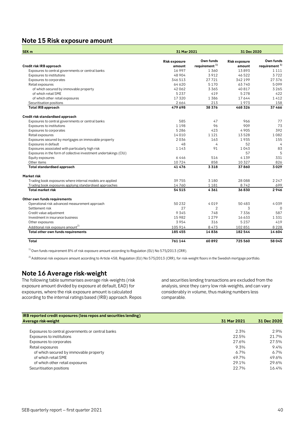## <span id="page-39-0"></span>**Note 15 Risk exposure amount**

| SEK <sub>m</sub>                                                  | 31 Mar 2021          |                           | 31 Dec 2020          |                     |  |
|-------------------------------------------------------------------|----------------------|---------------------------|----------------------|---------------------|--|
|                                                                   | <b>Risk exposure</b> | Own funds                 | <b>Risk exposure</b> | Own funds           |  |
| Credit risk IRB approach                                          | amount               | requirement <sup>1)</sup> | amount               | requirement $^{1)}$ |  |
| Exposures to central governments or central banks                 | 16 9 97              | 1360                      | 13893                | 1 1 1 1             |  |
| Exposures to institutions                                         | 48 904               | 3912                      | 46522                | 3722                |  |
| Exposures to corporates                                           | 346 513              | 27721                     | 342199               | 27376               |  |
| Retail exposures                                                  | 64 620               | 5170                      | 63740                | 5099                |  |
| of which secured by immovable property                            | 42 062               | 3365                      | 40817                | 3265                |  |
| of which retail SME                                               | 5237                 | 419                       | 5278                 | 422                 |  |
| of which other retail exposures                                   | 17320                | 1386                      | 17644                | 1412                |  |
| Securitisation positions                                          | 2664                 | 213                       | 1973                 | 158                 |  |
| <b>Total IRB approach</b>                                         | 479 698              | 38 3 7 6                  | 468 326              | 37466               |  |
| Credit risk standardised approach                                 |                      |                           |                      |                     |  |
| Exposures to central governments or central banks                 | 585                  | 47                        | 966                  | 77                  |  |
| Exposures to institutions                                         | 1198                 | 96                        | 909                  | 73                  |  |
| Exposures to corporates                                           | 5286                 | 423                       | 4905                 | 392                 |  |
| Retail exposures                                                  | 14010                | 1121                      | 13528                | 1082                |  |
| Exposures secured by mortgages on immovable property              | 2036                 | 163                       | 1935                 | 155                 |  |
| Exposures in default                                              | 48                   | 4                         | 52                   | 4                   |  |
| Exposures associated with particularly high risk                  | 1143                 | 91                        | 1043                 | 83                  |  |
| Exposures in the form of collective investment undertakings (CIU) |                      |                           | 57                   | 5                   |  |
| Equity exposures                                                  | 6446                 | 516                       | 4139                 | 331                 |  |
| Other items                                                       | 10724                | 858                       | 10 3 2 7             | 826                 |  |
| Total standardised approach                                       | 41 47 6              | 3318                      | 37860                | 3029                |  |
| <b>Market risk</b>                                                |                      |                           |                      |                     |  |
| Trading book exposures where internal models are applied          | 39755                | 3 1 8 0                   | 28 0 8 8             | 2247                |  |
| Trading book exposures applying standardised approaches           | 14760                | 1181                      | 8742                 | 699                 |  |
| <b>Total market risk</b>                                          | 54515                | 4361                      | 36830                | 2946                |  |
| Other own funds requirements                                      |                      |                           |                      |                     |  |
| Operational risk advanced measurement approach                    | 50 232               | 4019                      | 50 483               | 4039                |  |
| Settlement risk                                                   | 27                   | $\overline{2}$            | 3                    | $\Omega$            |  |
| Credit value adjustment                                           | 9345                 | 748                       | 7336                 | 587                 |  |
| Investment in insurance business                                  | 15982                | 1279                      | 16633                | 1331                |  |
| Other exposures                                                   | 3954                 | 316                       | 5237                 | 419                 |  |
| Additional risk exposure amount <sup>2)</sup>                     | 105 914              | 8473                      | 102851               | 8228                |  |
| Total other own funds requirements                                | 185 455              | 14836                     | 182544               | 14 604              |  |
| Total                                                             | 761 144              | 60892                     | 725 560              | 58045               |  |

 $1)$  Own funds requirement 8% of risk exposure amount according to Regulation (EU) No 575/2013 (CRR).

<sup>2)</sup> Additional risk exposure amount according to Article 458, Regulation (EU) No 575/2013 (CRR), for risk-weight floors in the Swedish mortgage portfolio.

## <span id="page-39-1"></span>**Note 16 Average risk-weight**

The following table summarises average risk-weights (risk exposure amount divided by exposure at default, EAD) for exposures, where the risk exposure amount is calculated according to the internal ratings based (IRB) approach. Repos and securities lending transactions are excluded from the analysis, since they carry low risk-weights, and can vary considerably in volume, thus making numbers less comparable.

| IRB reported credit exposures (less repos and securities lending) |             |             |
|-------------------------------------------------------------------|-------------|-------------|
| Average risk-weight                                               | 31 Mar 2021 | 31 Dec 2020 |
|                                                                   |             |             |
| Exposures to central governments or central banks                 | 2.3%        | 2.9%        |
| Exposures to institutions                                         | 22.5%       | 21.7%       |
| Exposures to corporates                                           | 27.6%       | 27.5%       |
| Retail exposures                                                  | 9.3%        | $9.4\%$     |
| of which secured by immovable property                            | 67%         | $6.7\%$     |
| of which retail SME                                               | 49.7%       | 49.6%       |
| of which other retail exposures                                   | 29.1%       | 29.6%       |
| Securitisation positions                                          | 22.7%       | 16.4%       |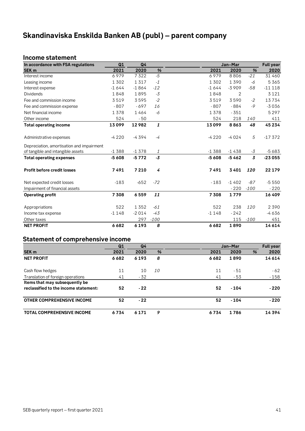## <span id="page-40-0"></span>**Skandinaviska Enskilda Banken AB (publ) – parent company**

## <span id="page-40-1"></span>**Income statement**

| In accordance with FSA regulations        | Q1      | Q <sub>4</sub> |        |         | Jan-Mar |                | <b>Full year</b> |
|-------------------------------------------|---------|----------------|--------|---------|---------|----------------|------------------|
| <b>SEK m</b>                              | 2021    | 2020           | %      | 2021    | 2020    | %              | 2020             |
| Interest income                           | 6979    | 7322           | $-5$   | 6979    | 8806    | $-21$          | 31 460           |
| Leasing income                            | 1302    | 1317           | $-1$   | 1302    | 1390    | -6             | 5365             |
| Interest expense                          | $-1644$ | $-1864$        | $-12$  | $-1644$ | $-3909$ | $-58$          | $-11118$         |
| <b>Dividends</b>                          | 1848    | 1895           | $-3$   | 1848    | 2       |                | 3 1 2 1          |
| Fee and commission income                 | 3519    | 3595           | $-2$   | 3519    | 3590    | $-2$           | 13734            |
| Fee and commission expense                | $-807$  | $-697$         | 16     | $-807$  | $-884$  | $-9$           | $-3036$          |
| Net financial income                      | 1378    | 1464           | -6     | 1378    | $-351$  |                | 5297             |
| Other income                              | 524     | $-50$          |        | 524     | 218     | 140            | 411              |
| <b>Total operating income</b>             | 13099   | 12982          | 1      | 13099   | 8863    | 48             | 45 2 3 4         |
| Administrative expenses                   | $-4220$ | $-4394$        | $-4$   | $-4220$ | $-4024$ | 5              | $-17372$         |
| Depreciation, amortisation and impairment |         |                |        |         |         |                |                  |
| of tangible and intangible assets         | $-1388$ | $-1378$        | 1      | $-1388$ | $-1438$ | $-3$           | $-5683$          |
| <b>Total operating expenses</b>           | $-5608$ | $-5772$        | $-3$   | $-5608$ | $-5462$ | $\overline{3}$ | $-23055$         |
| <b>Profit before credit losses</b>        | 7491    | 7210           | 4      | 7491    | 3401    | 120            | 22 179           |
| Net expected credit losses                | $-183$  | $-652$         | $-72$  | $-183$  | $-1402$ | $-87$          | $-5550$          |
| Impairment of financial assets            |         |                |        |         | $-220$  | $-100$         | $-220$           |
| <b>Operating profit</b>                   | 7 3 0 8 | 6559           | 11     | 7308    | 1779    |                | 16409            |
| Appropriations                            | 522     | 1352           | $-61$  | 522     | 238     | 120            | 2390             |
| Income tax expense                        | $-1148$ | $-2014$        | $-43$  | $-1148$ | $-242$  |                | $-4636$          |
| Other taxes                               |         | 297            | $-100$ |         | 115     | $-100$         | 451              |
| <b>NET PROFIT</b>                         | 6682    | 6193           | 8      | 6682    | 1890    |                | 14614            |

## <span id="page-40-2"></span>**Statement of comprehensive income**

|                                       | Q1   | Q <sub>4</sub> |           |      | Jan-Mar |   | <b>Full year</b> |
|---------------------------------------|------|----------------|-----------|------|---------|---|------------------|
| SEK <sub>m</sub>                      | 2021 | 2020           | %         | 2021 | 2020    | % | 2020             |
| <b>NET PROFIT</b>                     | 6682 | 6193           | 8         | 6682 | 1890    |   | 14614            |
| Cash flow hedges                      | 11   | 10             | <i>10</i> | 11   | - 51    |   | $-62$            |
| Translation of foreign operations     | 41   | - 32           |           | 41   | $-53$   |   | $-158$           |
| Items that may subsequently be        |      |                |           |      |         |   |                  |
| reclassified to the income statement: | 52   | $-22$          |           | 52   | $-104$  |   | $-220$           |
| <b>OTHER COMPREHENSIVE INCOME</b>     | 52   | $-22$          |           | 52   | $-104$  |   | $-220$           |
| <b>TOTAL COMPREHENSIVE INCOME</b>     | 6734 | 6 1 7 1        | 9         | 6734 | 1786    |   | 14394            |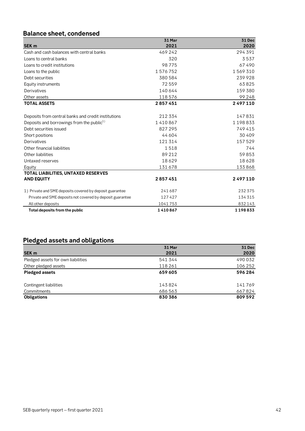## <span id="page-41-0"></span>**Balance sheet, condensed**

|                                                           | 31 Mar  | <b>31 Dec</b> |
|-----------------------------------------------------------|---------|---------------|
| <b>SEK m</b>                                              | 2021    | 2020          |
| Cash and cash balances with central banks                 | 469242  | 294 391       |
| Loans to central banks                                    | 320     | 3537          |
| Loans to credit institutions                              | 98775   | 67490         |
| Loans to the public                                       | 1576752 | 1569310       |
| Debt securities                                           | 380 584 | 239928        |
| Equity instruments                                        | 72559   | 63825         |
| Derivatives                                               | 140 644 | 159 380       |
| Other assets                                              | 118576  | 99 248        |
| <b>TOTAL ASSETS</b>                                       | 2857451 | 2497110       |
|                                                           |         |               |
| Deposits from central banks and credit institutions       | 212 334 | 147831        |
| Deposits and borrowings from the public <sup>1)</sup>     | 1410867 | 1198833       |
| Debt securities issued                                    | 827 295 | 749 415       |
| Short positions                                           | 44 604  | 30 40 9       |
| Derivatives                                               | 121 314 | 157529        |
| Other financial liabilities                               | 1518    | 744           |
| Other liabilities                                         | 89 212  | 59853         |
| Untaxed reserves                                          | 18629   | 18628         |
| Equity                                                    | 131678  | 133868        |
| TOTAL LIABILITIES, UNTAXED RESERVES                       |         |               |
| <b>AND EQUITY</b>                                         | 2857451 | 2497110       |
| 1) Private and SME deposits covered by deposit guarantee  | 241687  | 232375        |
| Private and SME deposits not covered by deposit guarantee | 127427  | 134315        |
| All other deposits                                        | 1041753 | 832143        |
| Total deposits from the public                            | 1410867 | 1198833       |

## <span id="page-41-1"></span>**Pledged assets and obligations**

|                                    | 31 Mar  | <b>31 Dec</b> |
|------------------------------------|---------|---------------|
| SEK <sub>m</sub>                   | 2021    | 2020          |
| Pledged assets for own liabilities | 541 344 | 490 032       |
| Other pledged assets               | 118 261 | 106 252       |
| <b>Pledged assets</b>              | 659 605 | 596 284       |
| Contingent liabilities             | 143824  | 141769        |
| Commitments                        | 686 563 | 667824        |
| <b>Obligations</b>                 | 830 386 | 809 592       |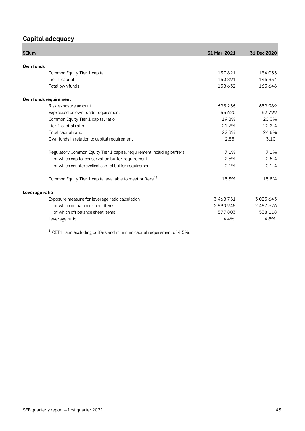## <span id="page-42-0"></span>**Capital adequacy**

| SEK <sub>m</sub> |                                                                       | 31 Mar 2021 | 31 Dec 2020 |
|------------------|-----------------------------------------------------------------------|-------------|-------------|
|                  |                                                                       |             |             |
| Own funds        |                                                                       |             |             |
|                  | Common Equity Tier 1 capital                                          | 137821      | 134 055     |
|                  | Tier 1 capital                                                        | 150891      | 146 334     |
|                  | Total own funds                                                       | 158632      | 163646      |
|                  | Own funds requirement                                                 |             |             |
|                  | Risk exposure amount                                                  | 695256      | 659 989     |
|                  | Expressed as own funds requirement                                    | 55 6 20     | 52799       |
|                  | Common Equity Tier 1 capital ratio                                    | 19.8%       | 20.3%       |
|                  | Tier 1 capital ratio                                                  | 21.7%       | 22.2%       |
|                  | Total capital ratio                                                   | 22.8%       | 24.8%       |
|                  | Own funds in relation to capital requirement                          | 2.85        | 3.10        |
|                  | Regulatory Common Equity Tier 1 capital requirement including buffers | 7.1%        | 7.1%        |
|                  | of which capital conservation buffer requirement                      | 2.5%        | 2.5%        |
|                  | of which countercyclical capital buffer requirement                   | 0.1%        | 0.1%        |
|                  | Common Equity Tier 1 capital available to meet buffers <sup>1)</sup>  | 15.3%       | 15.8%       |
| Leverage ratio   |                                                                       |             |             |
|                  | Exposure measure for leverage ratio calculation                       | 3468751     | 3025643     |
|                  | of which on balance sheet items                                       | 2890948     | 2 487 526   |
|                  | of which off balance sheet items                                      | 577803      | 538 118     |
|                  | Leverage ratio                                                        | 4.4%        | 4.8%        |

 $1)$  CET1 ratio excluding buffers and minimum capital requirement of 4.5%.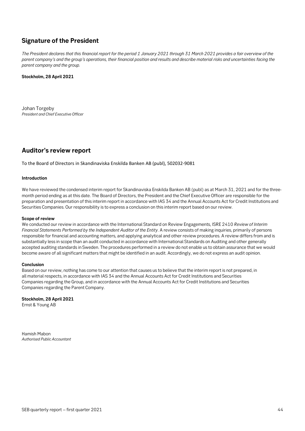## <span id="page-43-0"></span>**Signature of the President**

*The President declares that this financial report for the period 1 January 2021 through 31 March 2021 provides a fair overview of the parent company's and the group's operations, their financial position and results and describe material risks and uncertainties facing the parent company and the group.*

## **Stockholm, 28 April 2021**

Johan Torgeby *President and Chief Executive Officer*

## <span id="page-43-1"></span>**Auditor's review report**

To the Board of Directors in Skandinaviska Enskilda Banken AB (publ), 502032-9081

## **Introduction**

We have reviewed the condensed interim report for Skandinaviska Enskilda Banken AB (publ) as at March 31, 2021 and for the threemonth period ending as at this date. The Board of Directors, the President and the Chief Executive Officer are responsible for the preparation and presentation of this interim report in accordance with IAS 34 and the Annual Accounts Act for Credit Institutions and Securities Companies. Our responsibility is to express a conclusion on this interim report based on our review.

## **Scope of review**

We conducted our review in accordance with the International Standard on Review Engagements, ISRE 2410 *Review of Interim Financial Statements Performed by the Independent Auditor of the Entity*. A review consists of making inquiries, primarily of persons responsible for financial and accounting matters, and applying analytical and other review procedures. A review differs from and is substantially less in scope than an audit conducted in accordance with International Standards on Auditing and other generally accepted auditing standards in Sweden. The procedures performed in a review do not enable us to obtain assurance that we would become aware of all significant matters that might be identified in an audit. Accordingly, we do not express an audit opinion.

## **Conclusion**

Based on our review, nothing has come to our attention that causes us to believe that the interim report is not prepared, in all material respects, in accordance with IAS 34 and the Annual Accounts Act for Credit Institutions and Securities Companies regarding the Group, and in accordance with the Annual Accounts Act for Credit Institutions and Securities Companies regarding the Parent Company.

**Stockholm, 28 April 2021** Ernst & Young AB

Hamish Mabon *Authorised Public Accountant*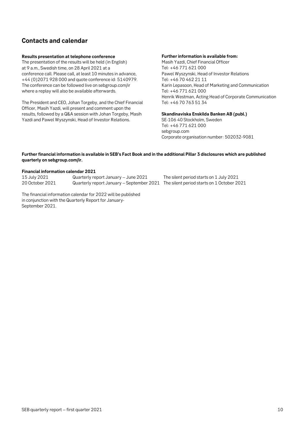## <span id="page-44-0"></span>**Contacts and calendar**

## **Results presentation at telephone conference**

The presentation of the results will be held (in English) at 9 a.m., Swedish time, on 28 April 2021 at a conference call. Please call, at least 10 minutes in advance, +44 (0)2071 928 000 and quote conference id: 5140979. The conference can be followed live on sebgroup.com/ir where a replay will also be available afterwards.

The President and CEO, Johan Torgeby, and the Chief Financial Officer, Masih Yazdi, will present and comment upon the results, followed by a Q&A session with Johan Torgeby, Masih Yazdi and Pawel Wyszynski, Head of Investor Relations.

### **Further information is available from:**

Masih Yazdi, Chief Financial Officer Tel: +46 771 621 000 Pawel Wyszynski, Head of Investor Relations Tel: +46 70 462 21 11 Karin Lepasoon, Head of Marketing and Communication Tel: +46 771 621 000 Henrik Westman, Acting Head of Corporate Communication Tel: +46 70 763 51 34

**Skandinaviska Enskilda Banken AB (publ.)** SE-106 40 Stockholm, Sweden Tel: +46 771 621 000 sebgroup.com

Corporate organisation number: 502032-9081

## **Further financial information is available in SEB's Fact Book and in the additional Pillar 3 disclosures which are published quarterly on sebgroup.com/ir.**

## **Financial information calendar 2021**

15 July 2021 Quarterly report January – June 2021 The silent period starts on 1 July 2021 Quarterly report January – September 2021 The silent period starts on 1 October 2021

The financial information calendar for 2022 will be published in conjunction with the Quarterly Report for January-September 2021.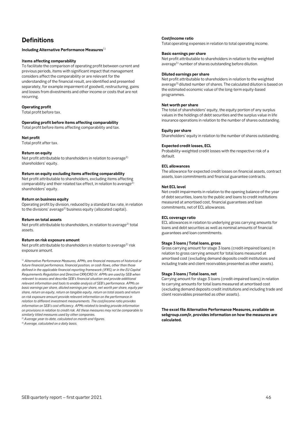## <span id="page-45-0"></span>**Definitions**

### **Including Alternative Performance Measures**<sup>1)</sup>

### **Items affecting comparability**

To facilitate the comparison of operating profit between current and previous periods, items with significant impact that management considers affect the comparability or are relevant for the understanding of the financial result, are identified and presented separately, for example impairment of goodwill, restructuring, gains and losses from divestments and other income or costs that are not recurring.

### **Operating profit**

Total profit before tax.

## **Operating profit before items affecting comparability**

Total profit before items affecting comparability and tax.

### **Net profit**

Total profit after tax.

### **Return on equity**

Net profit attributable to shareholders in relation to average<sup>2)</sup> shareholders' equity.

### **Return on equity excluding items affecting comparability**

Net profit attributable to shareholders, excluding items affecting comparability and their related tax effect, in relation to average<sup>2</sup> shareholders' equity.

### **Return on business equity**

Operating profit by division, reduced by a standard tax rate, in relation to the divisions' average2) business equity (allocated capital).

### **Return on total assets**

Net profit attributable to shareholders, in relation to average<sup>2)</sup> total assets.

### **Return on risk exposure amount**

Net profit attributable to shareholders in relation to average<sup>2)</sup> risk exposure amount.

<sup>1)</sup> Alternative Performance Measures, APMs, are financial measures of historical or *future financial performance, financial position, or cash flows, other than those defined in the applicable financial reporting framework (IFRS) or in the EU Capital Requirements Regulation and Directive CRR/CRD IV. APMs are used by SEB when relevant to assess and describe SEB's financial situation and provide additional relevant information and tools to enable analysis of SEB's performance. APMs on basic earnings per share, diluted earnings per share, net worth per share, equity per share, return on equity, return on tangible equity, return on total assets and return on risk exposure amount provide relevant information on the performance in relation to different investment measurements. The cost/income ratio provides information on SEB's cost efficiency. APMs related to lending provide information on provisions in relation to credit risk. All these measures may not be comparable to similarly titled measures used by other companies.*  2) *Average year-to-date, calculated on month-end figures.*

3) *Average, calculated on a daily basis.*

### **Cost/income ratio**

Total operating expenses in relation to total operating income.

## **Basic earnings per share**

Net profit attributable to shareholders in relation to the weighted average<sup>3)</sup> number of shares outstanding before dilution.

### **Diluted earnings per share**

Net profit attributable to shareholders in relation to the weighted average<sup>3)</sup> diluted number of shares. The calculated dilution is based on the estimated economic value of the long-term equity-based programmes.

## **Net worth per share**

The total of shareholders' equity, the equity portion of any surplus values in the holdings of debt securities and the surplus value in life insurance operations in relation to the number of shares outstanding.

### **Equity per share**

Shareholders' equity in relation to the number of shares outstanding.

### **Expected credit losses, ECL**

Probability-weighted credit losses with the respective risk of a default.

### **ECL allowances**

The allowance for expected credit losses on financial assets, contract assets, loan commitments and financial guarantee contracts.

### **Net ECL level**

Net credit impairments in relation to the opening balance of the year of debt securities, loans to the public and loans to credit institutions measured at amortised cost, financial guarantees and loan commitments, net of ECL allowances.

### **ECL coverage ratio**

ECL allowances in relation to underlying gross carrying amounts for loans and debt securities as well as nominal amounts of financial guarantees and loan commitments.

## **Stage 3 loans / Total loans, gross**

Gross carrying amount for stage 3 loans (credit-impaired loans) in relation to gross carrying amount for total loans measured at amortised cost (excluding demand deposits credit institutions and including trade and client receivables presented as other assets).

### **Stage 3 loans / Total loans, net**

Carrying amount for stage 3 loans (credit-impaired loans) in relation to carrying amounts for total loans measured at amortised cost (excluding demand deposits credit institutions and including trade and client receivables presented as other assets).

**The excel file Alternative Performance Measures, available on sebgroup.com/ir, provides information on how the measures are calculated.**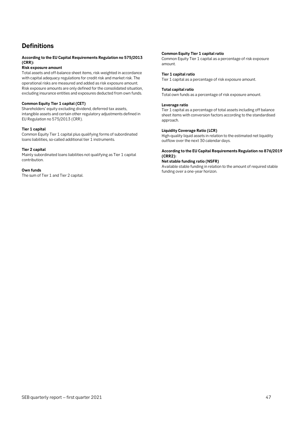## **Definitions**

### **According to the EU Capital Requirements Regulation no 575/2013 (CRR):**

## **Risk exposure amount**

Total assets and off-balance sheet items, risk-weighted in accordance with capital adequacy regulations for credit risk and market risk. The operational risks are measured and added as risk exposure amount. Risk exposure amounts are only defined for the consolidated situation, excluding insurance entities and exposures deducted from own funds.

### **Common Equity Tier 1 capital (CET)**

Shareholders' equity excluding dividend, deferred tax assets, intangible assets and certain other regulatory adjustments defined in EU Regulation no 575/2013 (CRR).

### **Tier 1 capital**

Common Equity Tier 1 capital plus qualifying forms of subordinated loans liabilities, so-called additional tier 1 instruments.

### **Tier 2 capital**

Mainly subordinated loans liabilities not qualifying as Tier 1 capital contribution.

### **Own funds**

The sum of Tier 1 and Tier 2 capital.

## **Common Equity Tier 1 capital ratio**

Common Equity Tier 1 capital as a percentage of risk exposure amount.

### **Tier 1 capital ratio**

Tier 1 capital as a percentage of risk exposure amount.

## **Total capital ratio**

Total own funds as a percentage of risk exposure amount.

### **Leverage ratio**

Tier 1 capital as a percentage of total assets including off balance sheet items with conversion factors according to the standardised approach.

### **Liquidity Coverage Ratio (LCR)**

High-quality liquid assets in relation to the estimated net liquidity outflow over the next 30 calendar days.

### **According to the EU Capital Requirements Regulation no 876/2019 (CRR2):**

**Net stable funding ratio (NSFR)**

Available stable funding in relation to the amount of required stable funding over a one-year horizon.